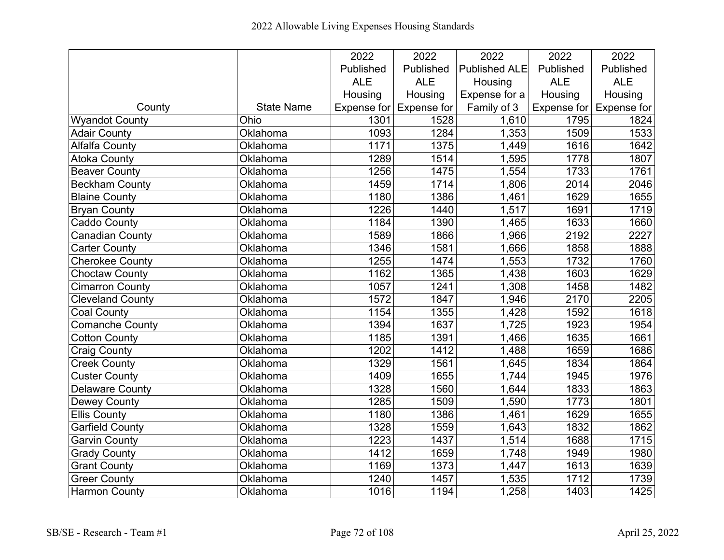|                         |                   | 2022       | 2022                    | 2022                 | 2022              | 2022                            |
|-------------------------|-------------------|------------|-------------------------|----------------------|-------------------|---------------------------------|
|                         |                   | Published  | Published               | <b>Published ALE</b> | Published         | Published                       |
|                         |                   | <b>ALE</b> | <b>ALE</b>              | Housing              | <b>ALE</b>        | <b>ALE</b>                      |
|                         |                   | Housing    | Housing                 | Expense for a        | Housing           | Housing                         |
| County                  | <b>State Name</b> |            | Expense for Expense for | Family of 3          |                   | Expense for $\vert$ Expense for |
| <b>Wyandot County</b>   | Ohio              | 1301       | 1528                    | 1,610                | 1795              | 1824                            |
| <b>Adair County</b>     | Oklahoma          | 1093       | 1284                    | 1,353                | $\overline{1509}$ | 1533                            |
| <b>Alfalfa County</b>   | Oklahoma          | 1171       | 1375                    | 1,449                | 1616              | 1642                            |
| <b>Atoka County</b>     | Oklahoma          | 1289       | 1514                    | 1,595                | 1778              | 1807                            |
| <b>Beaver County</b>    | Oklahoma          | 1256       | 1475                    | 1,554                | 1733              | 1761                            |
| Beckham County          | Oklahoma          | 1459       | 1714                    | 1,806                | 2014              | 2046                            |
| <b>Blaine County</b>    | Oklahoma          | 1180       | 1386                    | 1,461                | 1629              | 1655                            |
| <b>Bryan County</b>     | Oklahoma          | 1226       | 1440                    | 1,517                | 1691              | 1719                            |
| <b>Caddo County</b>     | Oklahoma          | 1184       | 1390                    | 1,465                | 1633              | 1660                            |
| <b>Canadian County</b>  | Oklahoma          | 1589       | 1866                    | 1,966                | 2192              | 2227                            |
| <b>Carter County</b>    | Oklahoma          | 1346       | 1581                    | 1,666                | 1858              | 1888                            |
| <b>Cherokee County</b>  | Oklahoma          | 1255       | 1474                    | 1,553                | 1732              | 1760                            |
| Choctaw County          | Oklahoma          | 1162       | 1365                    | 1,438                | 1603              | 1629                            |
| <b>Cimarron County</b>  | Oklahoma          | 1057       | 1241                    | 1,308                | 1458              | 1482                            |
| <b>Cleveland County</b> | Oklahoma          | 1572       | 1847                    | 1,946                | 2170              | 2205                            |
| <b>Coal County</b>      | Oklahoma          | 1154       | 1355                    | 1,428                | 1592              | 1618                            |
| <b>Comanche County</b>  | Oklahoma          | 1394       | 1637                    | 1,725                | 1923              | 1954                            |
| <b>Cotton County</b>    | Oklahoma          | 1185       | 1391                    | 1,466                | 1635              | 1661                            |
| <b>Craig County</b>     | Oklahoma          | 1202       | 1412                    | 1,488                | 1659              | 1686                            |
| <b>Creek County</b>     | Oklahoma          | 1329       | 1561                    | 1,645                | 1834              | 1864                            |
| <b>Custer County</b>    | Oklahoma          | 1409       | 1655                    | 1,744                | 1945              | 1976                            |
| <b>Delaware County</b>  | Oklahoma          | 1328       | 1560                    | 1,644                | 1833              | 1863                            |
| <b>Dewey County</b>     | Oklahoma          | 1285       | 1509                    | 1,590                | 1773              | 1801                            |
| <b>Ellis County</b>     | Oklahoma          | 1180       | 1386                    | 1,461                | 1629              | 1655                            |
| <b>Garfield County</b>  | Oklahoma          | 1328       | 1559                    | 1,643                | 1832              | 1862                            |
| <b>Garvin County</b>    | Oklahoma          | 1223       | 1437                    | 1,514                | 1688              | 1715                            |
| <b>Grady County</b>     | Oklahoma          | 1412       | 1659                    | 1,748                | 1949              | 1980                            |
| <b>Grant County</b>     | Oklahoma          | 1169       | 1373                    | 1,447                | 1613              | 1639                            |
| <b>Greer County</b>     | Oklahoma          | 1240       | 1457                    | 1,535                | 1712              | 1739                            |
| <b>Harmon County</b>    | Oklahoma          | 1016       | 1194                    | 1,258                | 1403              | 1425                            |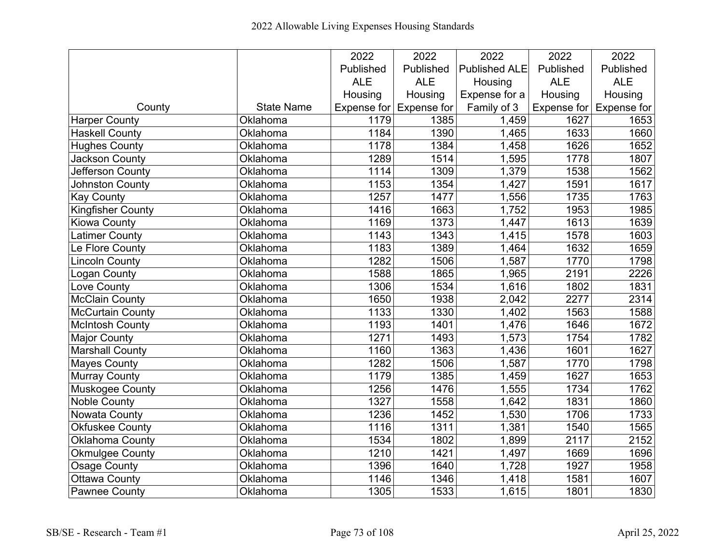|                          |                   | 2022       | 2022                    | 2022                 | 2022       | 2022                            |
|--------------------------|-------------------|------------|-------------------------|----------------------|------------|---------------------------------|
|                          |                   | Published  | Published               | <b>Published ALE</b> | Published  | Published                       |
|                          |                   | <b>ALE</b> | <b>ALE</b>              | Housing              | <b>ALE</b> | <b>ALE</b>                      |
|                          |                   | Housing    | Housing                 | Expense for a        | Housing    | Housing                         |
| County                   | <b>State Name</b> |            | Expense for Expense for | Family of 3          |            | Expense for $\vert$ Expense for |
| <b>Harper County</b>     | Oklahoma          | 1179       | 1385                    | 1,459                | 1627       | 1653                            |
| <b>Haskell County</b>    | Oklahoma          | 1184       | 1390                    | 1,465                | 1633       | 1660                            |
| <b>Hughes County</b>     | Oklahoma          | 1178       | 1384                    | 1,458                | 1626       | 1652                            |
| Jackson County           | Oklahoma          | 1289       | 1514                    | 1,595                | 1778       | 1807                            |
| Jefferson County         | Oklahoma          | 1114       | 1309                    | 1,379                | 1538       | 1562                            |
| Johnston County          | Oklahoma          | 1153       | 1354                    | 1,427                | 1591       | 1617                            |
| <b>Kay County</b>        | Oklahoma          | 1257       | 1477                    | 1,556                | 1735       | 1763                            |
| <b>Kingfisher County</b> | Oklahoma          | 1416       | 1663                    | 1,752                | 1953       | 1985                            |
| <b>Kiowa County</b>      | Oklahoma          | 1169       | 1373                    | 1,447                | 1613       | 1639                            |
| <b>Latimer County</b>    | Oklahoma          | 1143       | 1343                    | 1,415                | 1578       | 1603                            |
| Le Flore County          | Oklahoma          | 1183       | 1389                    | 1,464                | 1632       | 1659                            |
| <b>Lincoln County</b>    | Oklahoma          | 1282       | 1506                    | 1,587                | 1770       | 1798                            |
| Logan County             | Oklahoma          | 1588       | 1865                    | 1,965                | 2191       | 2226                            |
| Love County              | Oklahoma          | 1306       | 1534                    | 1,616                | 1802       | 1831                            |
| <b>McClain County</b>    | Oklahoma          | 1650       | 1938                    | 2,042                | 2277       | 2314                            |
| McCurtain County         | Oklahoma          | 1133       | 1330                    | 1,402                | 1563       | 1588                            |
| <b>McIntosh County</b>   | Oklahoma          | 1193       | 1401                    | 1,476                | 1646       | 1672                            |
| <b>Major County</b>      | Oklahoma          | 1271       | 1493                    | 1,573                | 1754       | 1782                            |
| <b>Marshall County</b>   | Oklahoma          | 1160       | 1363                    | 1,436                | 1601       | 1627                            |
| <b>Mayes County</b>      | Oklahoma          | 1282       | 1506                    | 1,587                | 1770       | 1798                            |
| Murray County            | Oklahoma          | 1179       | 1385                    | 1,459                | 1627       | 1653                            |
| Muskogee County          | Oklahoma          | 1256       | 1476                    | 1,555                | 1734       | 1762                            |
| <b>Noble County</b>      | Oklahoma          | 1327       | 1558                    | 1,642                | 1831       | 1860                            |
| <b>Nowata County</b>     | Oklahoma          | 1236       | 1452                    | 1,530                | 1706       | 1733                            |
| Okfuskee County          | Oklahoma          | 1116       | 1311                    | 1,381                | 1540       | 1565                            |
| Oklahoma County          | Oklahoma          | 1534       | 1802                    | 1,899                | 2117       | 2152                            |
| <b>Okmulgee County</b>   | Oklahoma          | 1210       | 1421                    | 1,497                | 1669       | 1696                            |
| <b>Osage County</b>      | Oklahoma          | 1396       | 1640                    | 1,728                | 1927       | 1958                            |
| <b>Ottawa County</b>     | Oklahoma          | 1146       | 1346                    | 1,418                | 1581       | 1607                            |
| <b>Pawnee County</b>     | Oklahoma          | 1305       | 1533                    | 1,615                | 1801       | 1830                            |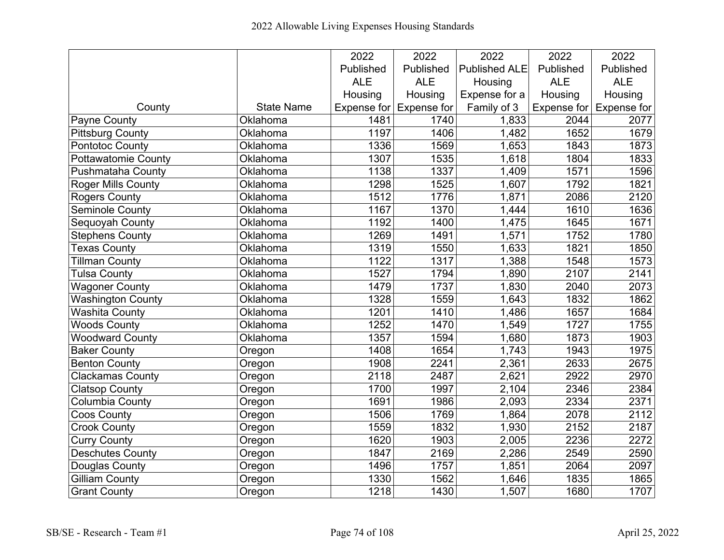|                           |                   | 2022        | 2022               | 2022                 | 2022              | 2022                    |
|---------------------------|-------------------|-------------|--------------------|----------------------|-------------------|-------------------------|
|                           |                   | Published   | Published          | <b>Published ALE</b> | Published         | Published               |
|                           |                   | <b>ALE</b>  | <b>ALE</b>         | Housing              | <b>ALE</b>        | <b>ALE</b>              |
|                           |                   | Housing     | Housing            | Expense for a        | Housing           | Housing                 |
| County                    | <b>State Name</b> | Expense for | <b>Expense for</b> | Family of 3          |                   | Expense for Expense for |
| <b>Payne County</b>       | Oklahoma          | 1481        | 1740               | 1,833                | 2044              | 2077                    |
| <b>Pittsburg County</b>   | Oklahoma          | 1197        | 1406               | 1,482                | 1652              | 1679                    |
| <b>Pontotoc County</b>    | Oklahoma          | 1336        | 1569               | 1,653                | 1843              | 1873                    |
| Pottawatomie County       | Oklahoma          | 1307        | 1535               | 1,618                | 1804              | 1833                    |
| Pushmataha County         | Oklahoma          | 1138        | 1337               | 1,409                | 1571              | 1596                    |
| <b>Roger Mills County</b> | Oklahoma          | 1298        | 1525               | 1,607                | 1792              | 1821                    |
| <b>Rogers County</b>      | Oklahoma          | 1512        | 1776               | 1,871                | 2086              | 2120                    |
| Seminole County           | Oklahoma          | 1167        | 1370               | $\overline{1,}444$   | $\frac{1}{16}$ 10 | 1636                    |
| Sequoyah County           | Oklahoma          | 1192        | 1400               | 1,475                | 1645              | 1671                    |
| <b>Stephens County</b>    | Oklahoma          | 1269        | 1491               | 1,571                | 1752              | 1780                    |
| <b>Texas County</b>       | Oklahoma          | 1319        | 1550               | 1,633                | 1821              | 1850                    |
| <b>Tillman County</b>     | Oklahoma          | 1122        | 1317               | 1,388                | 1548              | 1573                    |
| Tulsa County              | Oklahoma          | 1527        | 1794               | 1,890                | 2107              | 2141                    |
| <b>Wagoner County</b>     | Oklahoma          | 1479        | 1737               | 1,830                | 2040              | 2073                    |
| <b>Washington County</b>  | Oklahoma          | 1328        | 1559               | 1,643                | 1832              | 1862                    |
| <b>Washita County</b>     | Oklahoma          | 1201        | 1410               | 1,486                | 1657              | 1684                    |
| <b>Woods County</b>       | Oklahoma          | 1252        | 1470               | 1,549                | 1727              | 1755                    |
| <b>Woodward County</b>    | Oklahoma          | 1357        | 1594               | 1,680                | 1873              | 1903                    |
| <b>Baker County</b>       | Oregon            | 1408        | 1654               | 1,743                | 1943              | 1975                    |
| <b>Benton County</b>      | Oregon            | 1908        | 2241               | 2,361                | 2633              | 2675                    |
| <b>Clackamas County</b>   | Oregon            | 2118        | 2487               | 2,621                | 2922              | 2970                    |
| <b>Clatsop County</b>     | Oregon            | 1700        | 1997               | 2,104                | 2346              | 2384                    |
| <b>Columbia County</b>    | Oregon            | 1691        | 1986               | 2,093                | 2334              | 2371                    |
| <b>Coos County</b>        | Oregon            | 1506        | 1769               | 1,864                | 2078              | 2112                    |
| <b>Crook County</b>       | Oregon            | 1559        | 1832               | 1,930                | 2152              | 2187                    |
| <b>Curry County</b>       | Oregon            | 1620        | 1903               | 2,005                | 2236              | 2272                    |
| <b>Deschutes County</b>   | Oregon            | 1847        | 2169               | 2,286                | 2549              | 2590                    |
| Douglas County            | Oregon            | 1496        | 1757               | 1,851                | 2064              | 2097                    |
| <b>Gilliam County</b>     | Oregon            | 1330        | 1562               | 1,646                | 1835              | 1865                    |
| <b>Grant County</b>       | Oregon            | 1218        | 1430               | 1,507                | 1680              | 1707                    |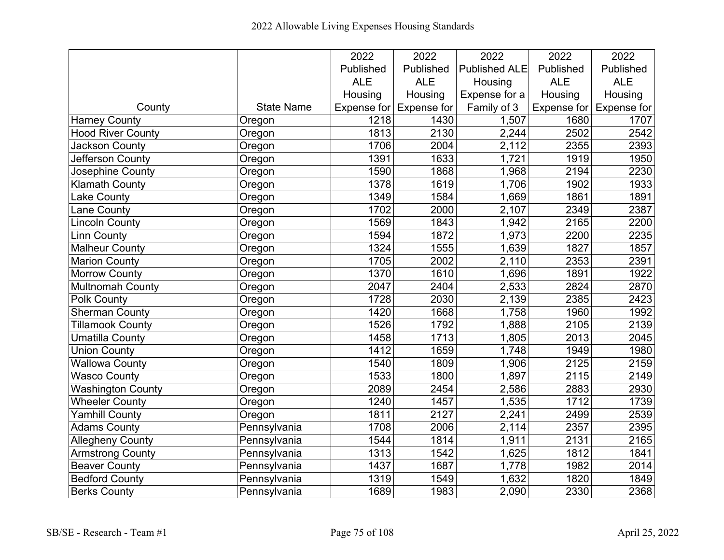|                          |                   | 2022       | 2022                    | 2022                 | 2022              | 2022                            |
|--------------------------|-------------------|------------|-------------------------|----------------------|-------------------|---------------------------------|
|                          |                   | Published  | Published               | <b>Published ALE</b> | Published         | Published                       |
|                          |                   | <b>ALE</b> | <b>ALE</b>              | Housing              | <b>ALE</b>        | <b>ALE</b>                      |
|                          |                   | Housing    | Housing                 | Expense for a        | Housing           | Housing                         |
| County                   | <b>State Name</b> |            | Expense for Expense for | Family of 3          |                   | Expense for $\vert$ Expense for |
| <b>Harney County</b>     | Oregon            | 1218       | 1430                    | 1,507                | 1680              | 1707                            |
| <b>Hood River County</b> | Oregon            | 1813       | 2130                    | 2,244                | 2502              | 2542                            |
| <b>Jackson County</b>    | Oregon            | 1706       | 2004                    | 2,112                | 2355              | 2393                            |
| Jefferson County         | Oregon            | 1391       | 1633                    | 1,721                | 1919              | 1950                            |
| Josephine County         | Oregon            | 1590       | 1868                    | 1,968                | 2194              | 2230                            |
| <b>Klamath County</b>    | Oregon            | 1378       | 1619                    | 1,706                | 1902              | 1933                            |
| <b>Lake County</b>       | Oregon            | 1349       | 1584                    | 1,669                | 1861              | 1891                            |
| Lane County              | Oregon            | 1702       | 2000                    | 2,107                | 2349              | 2387                            |
| <b>Lincoln County</b>    | Oregon            | 1569       | 1843                    | 1,942                | 2165              | 2200                            |
| <b>Linn County</b>       | Oregon            | 1594       | 1872                    | 1,973                | 2200              | 2235                            |
| <b>Malheur County</b>    | Oregon            | 1324       | 1555                    | 1,639                | 1827              | 1857                            |
| <b>Marion County</b>     | Oregon            | 1705       | 2002                    | 2,110                | 2353              | 2391                            |
| <b>Morrow County</b>     | Oregon            | 1370       | 1610                    | 1,696                | 1891              | 1922                            |
| <b>Multnomah County</b>  | Oregon            | 2047       | 2404                    | 2,533                | 2824              | 2870                            |
| <b>Polk County</b>       | Oregon            | 1728       | 2030                    | 2,139                | 2385              | 2423                            |
| Sherman County           | Oregon            | 1420       | 1668                    | 1,758                | 1960              | 1992                            |
| <b>Tillamook County</b>  | Oregon            | 1526       | 1792                    | 1,888                | 2105              | 2139                            |
| <b>Umatilla County</b>   | Oregon            | 1458       | 1713                    | 1,805                | 2013              | 2045                            |
| <b>Union County</b>      | Oregon            | 1412       | 1659                    | 1,748                | 1949              | 1980                            |
| <b>Wallowa County</b>    | Oregon            | 1540       | 1809                    | 1,906                | 2125              | 2159                            |
| <b>Wasco County</b>      | Oregon            | 1533       | 1800                    | 1,897                | 2115              | 2149                            |
| <b>Washington County</b> | Oregon            | 2089       | 2454                    | 2,586                | 2883              | 2930                            |
| <b>Wheeler County</b>    | Oregon            | 1240       | 1457                    | 1,535                | $\overline{17}12$ | 1739                            |
| <b>Yamhill County</b>    | Oregon            | 1811       | 2127                    | 2,241                | 2499              | 2539                            |
| <b>Adams County</b>      | Pennsylvania      | 1708       | 2006                    | 2,114                | 2357              | 2395                            |
| <b>Allegheny County</b>  | Pennsylvania      | 1544       | 1814                    | 1,911                | 2131              | 2165                            |
| <b>Armstrong County</b>  | Pennsylvania      | 1313       | 1542                    | 1,625                | 1812              | 1841                            |
| <b>Beaver County</b>     | Pennsylvania      | 1437       | 1687                    | 1,778                | 1982              | 2014                            |
| <b>Bedford County</b>    | Pennsylvania      | 1319       | 1549                    | 1,632                | 1820              | 1849                            |
| <b>Berks County</b>      | Pennsylvania      | 1689       | 1983                    | 2,090                | 2330              | 2368                            |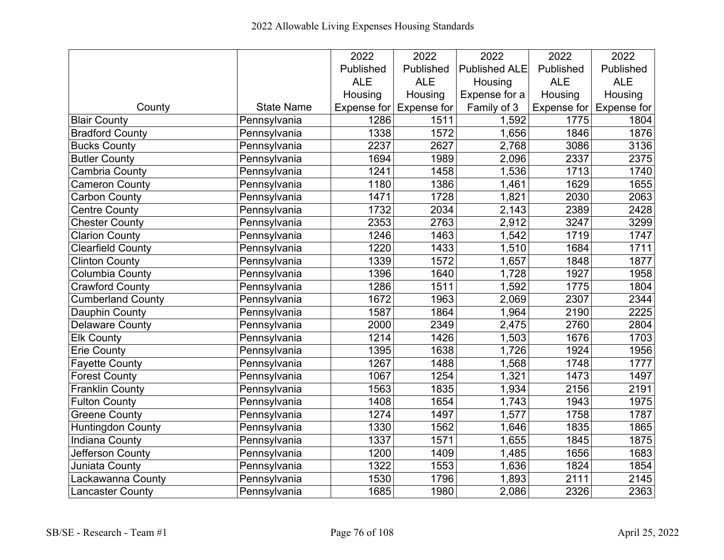|                          |                   | 2022        | 2022               | 2022                 | 2022        | 2022        |
|--------------------------|-------------------|-------------|--------------------|----------------------|-------------|-------------|
|                          |                   | Published   | Published          | <b>Published ALE</b> | Published   | Published   |
|                          |                   | <b>ALE</b>  | <b>ALE</b>         | Housing              | <b>ALE</b>  | <b>ALE</b>  |
|                          |                   | Housing     | Housing            | Expense for a        | Housing     | Housing     |
| County                   | <b>State Name</b> | Expense for | <b>Expense for</b> | Family of 3          | Expense for | Expense for |
| <b>Blair County</b>      | Pennsylvania      | 1286        | 1511               | 1,592                | 1775        | 1804        |
| <b>Bradford County</b>   | Pennsylvania      | 1338        | 1572               | 1,656                | 1846        | 1876        |
| <b>Bucks County</b>      | Pennsylvania      | 2237        | 2627               | 2,768                | 3086        | 3136        |
| <b>Butler County</b>     | Pennsylvania      | 1694        | 1989               | 2,096                | 2337        | 2375        |
| Cambria County           | Pennsylvania      | 1241        | 1458               | 1,536                | 1713        | 1740        |
| <b>Cameron County</b>    | Pennsylvania      | 1180        | 1386               | 1,461                | 1629        | 1655        |
| <b>Carbon County</b>     | Pennsylvania      | 1471        | 1728               | 1,821                | 2030        | 2063        |
| <b>Centre County</b>     | Pennsylvania      | 1732        | 2034               | $\overline{2}$ , 143 | 2389        | 2428        |
| <b>Chester County</b>    | Pennsylvania      | 2353        | 2763               | 2,912                | 3247        | 3299        |
| Clarion County           | Pennsylvania      | 1246        | 1463               | 1,542                | 1719        | 1747        |
| <b>Clearfield County</b> | Pennsylvania      | 1220        | 1433               | 1,510                | 1684        | 1711        |
| <b>Clinton County</b>    | Pennsylvania      | 1339        | 1572               | 1,657                | 1848        | 1877        |
| Columbia County          | Pennsylvania      | 1396        | 1640               | 1,728                | 1927        | 1958        |
| Crawford County          | Pennsylvania      | 1286        | 1511               | 1,592                | 1775        | 1804        |
| <b>Cumberland County</b> | Pennsylvania      | 1672        | 1963               | 2,069                | 2307        | 2344        |
| Dauphin County           | Pennsylvania      | 1587        | 1864               | 1,964                | 2190        | 2225        |
| <b>Delaware County</b>   | Pennsylvania      | 2000        | 2349               | 2,475                | 2760        | 2804        |
| <b>Elk County</b>        | Pennsylvania      | 1214        | 1426               | 1,503                | 1676        | 1703        |
| <b>Erie County</b>       | Pennsylvania      | 1395        | 1638               | 1,726                | 1924        | 1956        |
| <b>Fayette County</b>    | Pennsylvania      | 1267        | 1488               | 1,568                | 1748        | 1777        |
| <b>Forest County</b>     | Pennsylvania      | 1067        | 1254               | 1,321                | 1473        | 1497        |
| <b>Franklin County</b>   | Pennsylvania      | 1563        | 1835               | 1,934                | 2156        | 2191        |
| <b>Fulton County</b>     | Pennsylvania      | 1408        | 1654               | 1,743                | 1943        | 1975        |
| <b>Greene County</b>     | Pennsylvania      | 1274        | 1497               | 1,577                | 1758        | 1787        |
| Huntingdon County        | Pennsylvania      | 1330        | 1562               | 1,646                | 1835        | 1865        |
| <b>Indiana County</b>    | Pennsylvania      | 1337        | 1571               | 1,655                | 1845        | 1875        |
| Jefferson County         | Pennsylvania      | 1200        | 1409               | 1,485                | 1656        | 1683        |
| Juniata County           | Pennsylvania      | 1322        | 1553               | 1,636                | 1824        | 1854        |
| Lackawanna County        | Pennsylvania      | 1530        | 1796               | 1,893                | 2111        | 2145        |
| <b>Lancaster County</b>  | Pennsylvania      | 1685        | 1980               | 2,086                | 2326        | 2363        |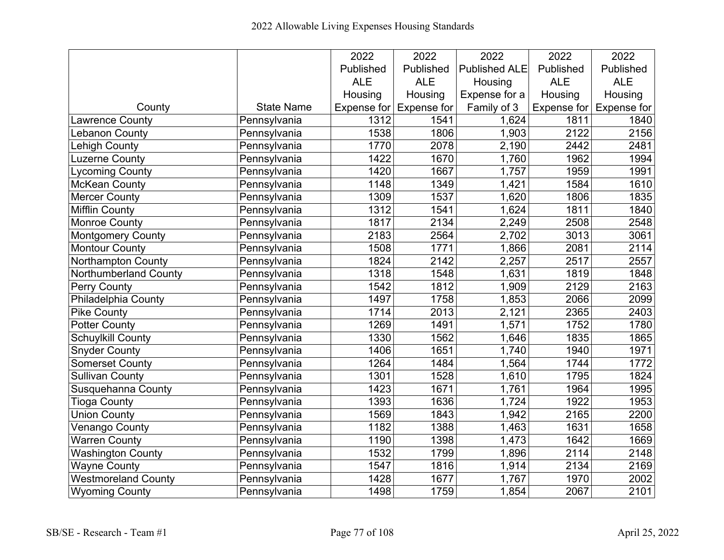|                            |                   | 2022        | 2022               | 2022                 | 2022        | 2022        |
|----------------------------|-------------------|-------------|--------------------|----------------------|-------------|-------------|
|                            |                   | Published   | Published          | <b>Published ALE</b> | Published   | Published   |
|                            |                   | <b>ALE</b>  | <b>ALE</b>         | Housing              | <b>ALE</b>  | <b>ALE</b>  |
|                            |                   | Housing     | Housing            | Expense for a        | Housing     | Housing     |
| County                     | <b>State Name</b> | Expense for | <b>Expense for</b> | Family of 3          | Expense for | Expense for |
| <b>Lawrence County</b>     | Pennsylvania      | 1312        | 1541               | 1,624                | 1811        | 1840        |
| Lebanon County             | Pennsylvania      | 1538        | 1806               | 1,903                | 2122        | 2156        |
| Lehigh County              | Pennsylvania      | 1770        | 2078               | 2,190                | 2442        | 2481        |
| Luzerne County             | Pennsylvania      | 1422        | 1670               | 1,760                | 1962        | 1994        |
| ycoming County             | Pennsylvania      | 1420        | 1667               | 1,757                | 1959        | 1991        |
| <b>McKean County</b>       | Pennsylvania      | 1148        | 1349               | 1,421                | 1584        | 1610        |
| <b>Mercer County</b>       | Pennsylvania      | 1309        | 1537               | 1,620                | 1806        | 1835        |
| <b>Mifflin County</b>      | Pennsylvania      | 1312        | 1541               | 1,624                | 1811        | 1840        |
| <b>Monroe County</b>       | Pennsylvania      | 1817        | $\overline{2134}$  | 2,249                | 2508        | 2548        |
| <b>Montgomery County</b>   | Pennsylvania      | 2183        | 2564               | 2,702                | 3013        | 3061        |
| <b>Montour County</b>      | Pennsylvania      | 1508        | 1771               | 1,866                | 2081        | 2114        |
| <b>Northampton County</b>  | Pennsylvania      | 1824        | 2142               | 2,257                | 2517        | 2557        |
| Northumberland County      | Pennsylvania      | 1318        | 1548               | 1,631                | 1819        | 1848        |
| Perry County               | Pennsylvania      | 1542        | 1812               | 1,909                | 2129        | 2163        |
| Philadelphia County        | Pennsylvania      | 1497        | 1758               | 1,853                | 2066        | 2099        |
| <b>Pike County</b>         | Pennsylvania      | 1714        | 2013               | 2,121                | 2365        | 2403        |
| <b>Potter County</b>       | Pennsylvania      | 1269        | 1491               | 1,571                | 1752        | 1780        |
| Schuylkill County          | Pennsylvania      | 1330        | 1562               | 1,646                | 1835        | 1865        |
| <b>Snyder County</b>       | Pennsylvania      | 1406        | 1651               | 1,740                | 1940        | 1971        |
| <b>Somerset County</b>     | Pennsylvania      | 1264        | 1484               | 1,564                | 1744        | 1772        |
| <b>Sullivan County</b>     | Pennsylvania      | 1301        | 1528               | 1,610                | 1795        | 1824        |
| Susquehanna County         | Pennsylvania      | 1423        | 1671               | 1,761                | 1964        | 1995        |
| <b>Tioga County</b>        | Pennsylvania      | 1393        | 1636               | 1,724                | 1922        | 1953        |
| <b>Union County</b>        | Pennsylvania      | 1569        | 1843               | 1,942                | 2165        | 2200        |
| <b>Venango County</b>      | Pennsylvania      | 1182        | 1388               | 1,463                | 1631        | 1658        |
| <b>Warren County</b>       | Pennsylvania      | 1190        | 1398               | 1,473                | 1642        | 1669        |
| <b>Washington County</b>   | Pennsylvania      | 1532        | 1799               | 1,896                | 2114        | 2148        |
| <b>Wayne County</b>        | Pennsylvania      | 1547        | 1816               | 1,914                | 2134        | 2169        |
| <b>Westmoreland County</b> | Pennsylvania      | 1428        | 1677               | 1,767                | 1970        | 2002        |
| <b>Wyoming County</b>      | Pennsylvania      | 1498        | 1759               | 1,854                | 2067        | 2101        |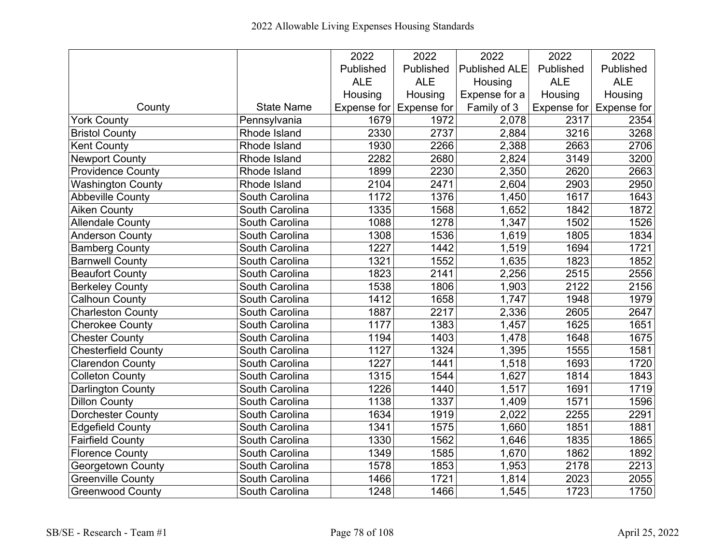|                            |                       | 2022       | 2022                    | 2022                 | 2022       | 2022                            |
|----------------------------|-----------------------|------------|-------------------------|----------------------|------------|---------------------------------|
|                            |                       | Published  | Published               | <b>Published ALE</b> | Published  | Published                       |
|                            |                       | <b>ALE</b> | <b>ALE</b>              | Housing              | <b>ALE</b> | <b>ALE</b>                      |
|                            |                       | Housing    | Housing                 | Expense for a        | Housing    | Housing                         |
| County                     | <b>State Name</b>     |            | Expense for Expense for | Family of 3          |            | Expense for $\vert$ Expense for |
| <b>York County</b>         | Pennsylvania          | 1679       | 1972                    | 2,078                | 2317       | 2354                            |
| <b>Bristol County</b>      | Rhode Island          | 2330       | $\overline{2737}$       | 2,884                | 3216       | 3268                            |
| <b>Kent County</b>         | Rhode Island          | 1930       | 2266                    | 2,388                | 2663       | 2706                            |
| <b>Newport County</b>      | Rhode Island          | 2282       | 2680                    | 2,824                | 3149       | 3200                            |
| <b>Providence County</b>   | Rhode Island          | 1899       | 2230                    | 2,350                | 2620       | 2663                            |
| Washington County          | Rhode Island          | 2104       | 2471                    | 2,604                | 2903       | 2950                            |
| <b>Abbeville County</b>    | South Carolina        | 1172       | 1376                    | 1,450                | 1617       | 1643                            |
| <b>Aiken County</b>        | South Carolina        | 1335       | 1568                    | 1,652                | 1842       | 1872                            |
| <b>Allendale County</b>    | South Carolina        | 1088       | 1278                    | 1,347                | 1502       | 1526                            |
| <b>Anderson County</b>     | South Carolina        | 1308       | 1536                    | 1,619                | 1805       | $\overline{1834}$               |
| <b>Bamberg County</b>      | South Carolina        | 1227       | 1442                    | 1,519                | 1694       | 1721                            |
| <b>Barnwell County</b>     | South Carolina        | 1321       | 1552                    | 1,635                | 1823       | 1852                            |
| <b>Beaufort County</b>     | <b>South Carolina</b> | 1823       | 2141                    | 2,256                | 2515       | 2556                            |
| <b>Berkeley County</b>     | South Carolina        | 1538       | 1806                    | 1,903                | 2122       | 2156                            |
| Calhoun County             | South Carolina        | 1412       | 1658                    | 1,747                | 1948       | 1979                            |
| Charleston County          | South Carolina        | 1887       | 2217                    | 2,336                | 2605       | 2647                            |
| <b>Cherokee County</b>     | South Carolina        | 1177       | 1383                    | 1,457                | 1625       | 1651                            |
| <b>Chester County</b>      | South Carolina        | 1194       | 1403                    | 1,478                | 1648       | 1675                            |
| <b>Chesterfield County</b> | South Carolina        | 1127       | 1324                    | 1,395                | 1555       | 1581                            |
| <b>Clarendon County</b>    | South Carolina        | 1227       | 1441                    | 1,518                | 1693       | 1720                            |
| Colleton County            | South Carolina        | 1315       | 1544                    | 1,627                | 1814       | 1843                            |
| <b>Darlington County</b>   | South Carolina        | 1226       | 1440                    | 1,517                | 1691       | 1719                            |
| <b>Dillon County</b>       | South Carolina        | 1138       | 1337                    | 1,409                | 1571       | 1596                            |
| <b>Dorchester County</b>   | South Carolina        | 1634       | 1919                    | 2,022                | 2255       | 2291                            |
| <b>Edgefield County</b>    | South Carolina        | 1341       | 1575                    | 1,660                | 1851       | 1881                            |
| <b>Fairfield County</b>    | South Carolina        | 1330       | 1562                    | 1,646                | 1835       | 1865                            |
| <b>Florence County</b>     | South Carolina        | 1349       | 1585                    | 1,670                | 1862       | 1892                            |
| Georgetown County          | South Carolina        | 1578       | 1853                    | 1,953                | 2178       | 2213                            |
| <b>Greenville County</b>   | South Carolina        | 1466       | 1721                    | 1,814                | 2023       | 2055                            |
| <b>Greenwood County</b>    | South Carolina        | 1248       | 1466                    | 1,545                | 1723       | 1750                            |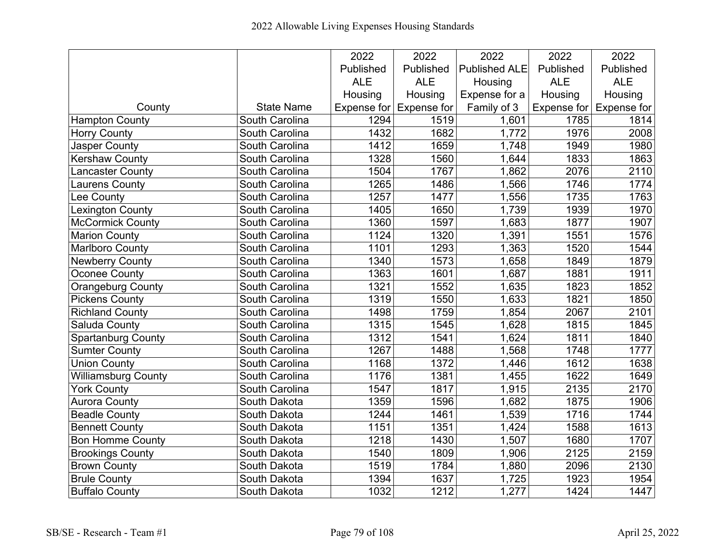|                            |                       | 2022       | 2022                    | 2022                 | 2022       | 2022                            |
|----------------------------|-----------------------|------------|-------------------------|----------------------|------------|---------------------------------|
|                            |                       | Published  | Published               | <b>Published ALE</b> | Published  | Published                       |
|                            |                       | <b>ALE</b> | <b>ALE</b>              | Housing              | <b>ALE</b> | <b>ALE</b>                      |
|                            |                       | Housing    | Housing                 | Expense for a        | Housing    | Housing                         |
| County                     | <b>State Name</b>     |            | Expense for Expense for | Family of 3          |            | Expense for $\vert$ Expense for |
| Hampton County             | South Carolina        | 1294       | 1519                    | 1,601                | 1785       | 1814                            |
| <b>Horry County</b>        | South Carolina        | 1432       | 1682                    | 1,772                | 1976       | 2008                            |
| <b>Jasper County</b>       | South Carolina        | 1412       | 1659                    | 1,748                | 1949       | 1980                            |
| <b>Kershaw County</b>      | South Carolina        | 1328       | 1560                    | 1,644                | 1833       | 1863                            |
| Lancaster County           | South Carolina        | 1504       | 1767                    | 1,862                | 2076       | 2110                            |
| Laurens County             | South Carolina        | 1265       | 1486                    | 1,566                | 1746       | 1774                            |
| Lee County                 | South Carolina        | 1257       | 1477                    | 1,556                | 1735       | 1763                            |
| <b>Lexington County</b>    | South Carolina        | 1405       | 1650                    | 1,739                | 1939       | 1970                            |
| <b>McCormick County</b>    | South Carolina        | 1360       | 1597                    | 1,683                | 1877       | 1907                            |
| <b>Marion County</b>       | South Carolina        | 1124       | 1320                    | 1,391                | 1551       | $\overline{1576}$               |
| <b>Marlboro County</b>     | South Carolina        | 1101       | 1293                    | 1,363                | 1520       | 1544                            |
| <b>Newberry County</b>     | South Carolina        | 1340       | 1573                    | 1,658                | 1849       | 1879                            |
| Oconee County              | South Carolina        | 1363       | 1601                    | 1,687                | 1881       | 1911                            |
| Orangeburg County          | South Carolina        | 1321       | 1552                    | 1,635                | 1823       | 1852                            |
| <b>Pickens County</b>      | South Carolina        | 1319       | 1550                    | 1,633                | 1821       | 1850                            |
| <b>Richland County</b>     | <b>South Carolina</b> | 1498       | 1759                    | 1,854                | 2067       | 2101                            |
| Saluda County              | South Carolina        | 1315       | 1545                    | 1,628                | 1815       | 1845                            |
| <b>Spartanburg County</b>  | South Carolina        | 1312       | 1541                    | 1,624                | 1811       | 1840                            |
| <b>Sumter County</b>       | South Carolina        | 1267       | 1488                    | 1,568                | 1748       | 1777                            |
| <b>Union County</b>        | South Carolina        | 1168       | 1372                    | 1,446                | 1612       | 1638                            |
| <b>Williamsburg County</b> | South Carolina        | 1176       | 1381                    | 1,455                | 1622       | 1649                            |
| <b>York County</b>         | South Carolina        | 1547       | 1817                    | 1,915                | 2135       | 2170                            |
| <b>Aurora County</b>       | South Dakota          | 1359       | 1596                    | 1,682                | 1875       | 1906                            |
| <b>Beadle County</b>       | South Dakota          | 1244       | 1461                    | 1,539                | 1716       | 1744                            |
| <b>Bennett County</b>      | South Dakota          | 1151       | 1351                    | 1,424                | 1588       | 1613                            |
| <b>Bon Homme County</b>    | South Dakota          | 1218       | 1430                    | 1,507                | 1680       | 1707                            |
| <b>Brookings County</b>    | South Dakota          | 1540       | 1809                    | 1,906                | 2125       | 2159                            |
| <b>Brown County</b>        | South Dakota          | 1519       | 1784                    | 1,880                | 2096       | 2130                            |
| <b>Brule County</b>        | South Dakota          | 1394       | 1637                    | 1,725                | 1923       | 1954                            |
| <b>Buffalo County</b>      | South Dakota          | 1032       | 1212                    | 1,277                | 1424       | 1447                            |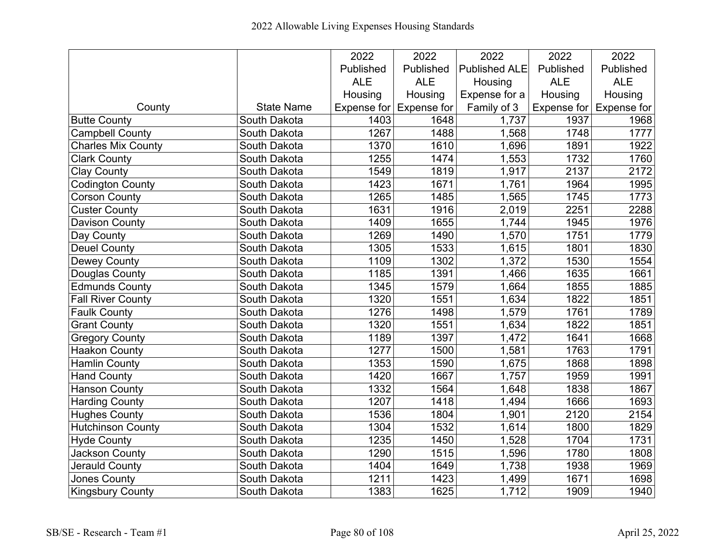|                           |                   | 2022       | 2022                    | 2022                 | 2022       | 2022                            |
|---------------------------|-------------------|------------|-------------------------|----------------------|------------|---------------------------------|
|                           |                   | Published  | Published               | <b>Published ALE</b> | Published  | Published                       |
|                           |                   | <b>ALE</b> | <b>ALE</b>              | Housing              | <b>ALE</b> | <b>ALE</b>                      |
|                           |                   | Housing    | Housing                 | Expense for a        | Housing    | Housing                         |
| County                    | <b>State Name</b> |            | Expense for Expense for | Family of 3          |            | Expense for $\vert$ Expense for |
| <b>Butte County</b>       | South Dakota      | 1403       | 1648                    | 1,737                | 1937       | 1968                            |
| <b>Campbell County</b>    | South Dakota      | 1267       | 1488                    | 1,568                | 1748       | 1777                            |
| <b>Charles Mix County</b> | South Dakota      | 1370       | 1610                    | 1,696                | 1891       | 1922                            |
| <b>Clark County</b>       | South Dakota      | 1255       | 1474                    | 1,553                | 1732       | 1760                            |
| <b>Clay County</b>        | South Dakota      | 1549       | 1819                    | 1,917                | 2137       | 2172                            |
| <b>Codington County</b>   | South Dakota      | 1423       | 1671                    | 1,761                | 1964       | 1995                            |
| <b>Corson County</b>      | South Dakota      | 1265       | 1485                    | 1,565                | 1745       | 1773                            |
| <b>Custer County</b>      | South Dakota      | 1631       | 1916                    | 2,019                | 2251       | 2288                            |
| <b>Davison County</b>     | South Dakota      | 1409       | 1655                    | 1,744                | 1945       | 1976                            |
| Day County                | South Dakota      | 1269       | 1490                    | 1,570                | 1751       | 1779                            |
| <b>Deuel County</b>       | South Dakota      | 1305       | 1533                    | 1,615                | 1801       | 1830                            |
| Dewey County              | South Dakota      | 1109       | 1302                    | 1,372                | 1530       | 1554                            |
| Douglas County            | South Dakota      | 1185       | 1391                    | 1,466                | 1635       | 1661                            |
| Edmunds County            | South Dakota      | 1345       | 1579                    | 1,664                | 1855       | 1885                            |
| <b>Fall River County</b>  | South Dakota      | 1320       | 1551                    | 1,634                | 1822       | 1851                            |
| <b>Faulk County</b>       | South Dakota      | 1276       | 1498                    | 1,579                | 1761       | 1789                            |
| <b>Grant County</b>       | South Dakota      | 1320       | 1551                    | 1,634                | 1822       | 1851                            |
| <b>Gregory County</b>     | South Dakota      | 1189       | 1397                    | 1,472                | 1641       | 1668                            |
| <b>Haakon County</b>      | South Dakota      | 1277       | 1500                    | 1,581                | 1763       | 1791                            |
| <b>Hamlin County</b>      | South Dakota      | 1353       | 1590                    | 1,675                | 1868       | 1898                            |
| <b>Hand County</b>        | South Dakota      | 1420       | 1667                    | 1,757                | 1959       | 1991                            |
| <b>Hanson County</b>      | South Dakota      | 1332       | 1564                    | 1,648                | 1838       | 1867                            |
| <b>Harding County</b>     | South Dakota      | 1207       | 1418                    | 1,494                | 1666       | 1693                            |
| <b>Hughes County</b>      | South Dakota      | 1536       | 1804                    | 1,901                | 2120       | 2154                            |
| <b>Hutchinson County</b>  | South Dakota      | 1304       | 1532                    | 1,614                | 1800       | 1829                            |
| <b>Hyde County</b>        | South Dakota      | 1235       | 1450                    | 1,528                | 1704       | 1731                            |
| Jackson County            | South Dakota      | 1290       | 1515                    | 1,596                | 1780       | 1808                            |
| Jerauld County            | South Dakota      | 1404       | 1649                    | 1,738                | 1938       | 1969                            |
| Jones County              | South Dakota      | 1211       | 1423                    | 1,499                | 1671       | 1698                            |
| <b>Kingsbury County</b>   | South Dakota      | 1383       | 1625                    | 1,712                | 1909       | 1940                            |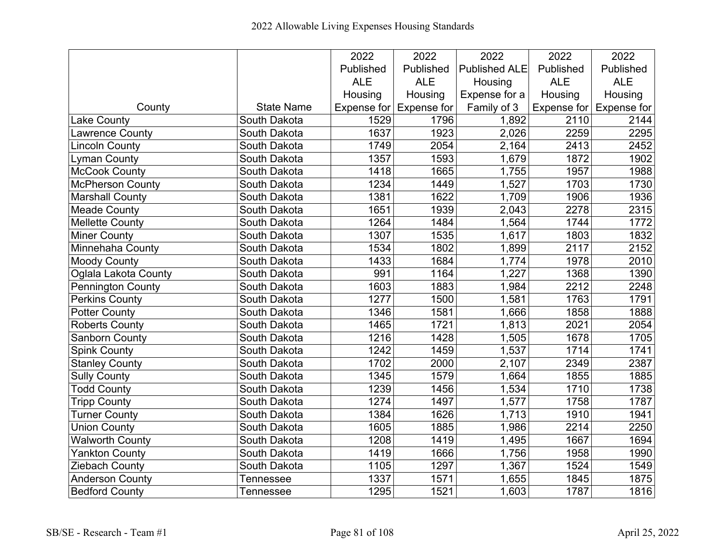|                          |                   | 2022        | 2022               | 2022                 | 2022       | 2022                            |
|--------------------------|-------------------|-------------|--------------------|----------------------|------------|---------------------------------|
|                          |                   | Published   | Published          | <b>Published ALE</b> | Published  | Published                       |
|                          |                   | <b>ALE</b>  | <b>ALE</b>         | Housing              | <b>ALE</b> | <b>ALE</b>                      |
|                          |                   | Housing     | Housing            | Expense for a        | Housing    | Housing                         |
| County                   | <b>State Name</b> | Expense for | <b>Expense for</b> | Family of 3          |            | Expense for $\vert$ Expense for |
| Lake County              | South Dakota      | 1529        | 1796               | 1,892                | 2110       | 2144                            |
| Lawrence County          | South Dakota      | 1637        | 1923               | 2,026                | 2259       | 2295                            |
| <b>Lincoln County</b>    | South Dakota      | 1749        | 2054               | 2,164                | 2413       | 2452                            |
| Lyman County             | South Dakota      | 1357        | 1593               | 1,679                | 1872       | 1902                            |
| <b>McCook County</b>     | South Dakota      | 1418        | 1665               | 1,755                | 1957       | 1988                            |
| <b>McPherson County</b>  | South Dakota      | 1234        | 1449               | 1,527                | 1703       | 1730                            |
| <b>Marshall County</b>   | South Dakota      | 1381        | 1622               | 1,709                | 1906       | 1936                            |
| <b>Meade County</b>      | South Dakota      | 1651        | 1939               | 2,043                | 2278       | 2315                            |
| <b>Mellette County</b>   | South Dakota      | 1264        | 1484               | 1,564                | 1744       | 1772                            |
| <b>Miner County</b>      | South Dakota      | 1307        | 1535               | 1,617                | 1803       | 1832                            |
| Minnehaha County         | South Dakota      | 1534        | 1802               | 1,899                | 2117       | 2152                            |
| <b>Moody County</b>      | South Dakota      | 1433        | 1684               | 1,774                | 1978       | 2010                            |
| Oglala Lakota County     | South Dakota      | 991         | 1164               | 1,227                | 1368       | 1390                            |
| <b>Pennington County</b> | South Dakota      | 1603        | 1883               | 1,984                | 2212       | 2248                            |
| <b>Perkins County</b>    | South Dakota      | 1277        | 1500               | 1,581                | 1763       | 1791                            |
| <b>Potter County</b>     | South Dakota      | 1346        | 1581               | 1,666                | 1858       | 1888                            |
| Roberts County           | South Dakota      | 1465        | 1721               | 1,813                | 2021       | 2054                            |
| <b>Sanborn County</b>    | South Dakota      | 1216        | 1428               | 1,505                | 1678       | 1705                            |
| <b>Spink County</b>      | South Dakota      | 1242        | 1459               | 1,537                | 1714       | 1741                            |
| <b>Stanley County</b>    | South Dakota      | 1702        | 2000               | 2,107                | 2349       | 2387                            |
| <b>Sully County</b>      | South Dakota      | 1345        | 1579               | 1,664                | 1855       | 1885                            |
| <b>Todd County</b>       | South Dakota      | 1239        | 1456               | 1,534                | 1710       | 1738                            |
| <b>Tripp County</b>      | South Dakota      | 1274        | 1497               | 1,577                | 1758       | 1787                            |
| <b>Turner County</b>     | South Dakota      | 1384        | 1626               | 1,713                | 1910       | 1941                            |
| <b>Union County</b>      | South Dakota      | 1605        | 1885               | 1,986                | 2214       | 2250                            |
| <b>Walworth County</b>   | South Dakota      | 1208        | 1419               | 1,495                | 1667       | 1694                            |
| <b>Yankton County</b>    | South Dakota      | 1419        | 1666               | 1,756                | 1958       | 1990                            |
| Ziebach County           | South Dakota      | 1105        | 1297               | 1,367                | 1524       | 1549                            |
| <b>Anderson County</b>   | Tennessee         | 1337        | 1571               | 1,655                | 1845       | 1875                            |
| <b>Bedford County</b>    | <b>Tennessee</b>  | 1295        | 1521               | 1,603                | 1787       | 1816                            |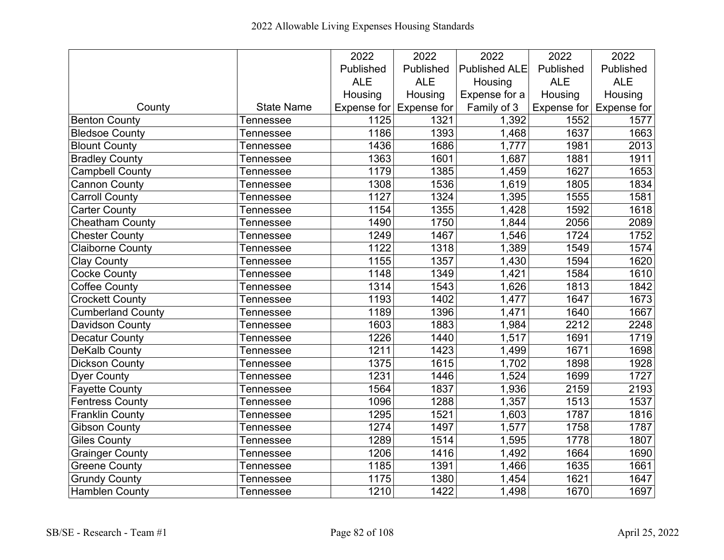|                          |                   | 2022             | 2022                    | 2022                 | 2022        | 2022        |
|--------------------------|-------------------|------------------|-------------------------|----------------------|-------------|-------------|
|                          |                   | Published        | Published               | <b>Published ALE</b> | Published   | Published   |
|                          |                   | <b>ALE</b>       | <b>ALE</b>              | Housing              | <b>ALE</b>  | <b>ALE</b>  |
|                          |                   | Housing          | Housing                 | Expense for a        | Housing     | Housing     |
| County                   | <b>State Name</b> |                  | Expense for Expense for | Family of 3          | Expense for | Expense for |
| <b>Benton County</b>     | Tennessee         | 1125             | 1321                    | 1,392                | 1552        | 1577        |
| <b>Bledsoe County</b>    | Tennessee         | 1186             | 1393                    | 1,468                | 1637        | 1663        |
| <b>Blount County</b>     | <b>Tennessee</b>  | 1436             | 1686                    | 1,777                | 1981        | 2013        |
| <b>Bradley County</b>    | Tennessee         | 1363             | 1601                    | 1,687                | 1881        | 1911        |
| <b>Campbell County</b>   | Tennessee         | 1179             | 1385                    | 1,459                | 1627        | 1653        |
| <b>Cannon County</b>     | Tennessee         | 1308             | 1536                    | 1,619                | 1805        | 1834        |
| <b>Carroll County</b>    | Tennessee         | 1127             | 1324                    | 1,395                | 1555        | 1581        |
| <b>Carter County</b>     | Tennessee         | 1154             | 1355                    | 1,428                | 1592        | 1618        |
| <b>Cheatham County</b>   | Tennessee         | 1490             | 1750                    | 1,844                | 2056        | 2089        |
| <b>Chester County</b>    | Tennessee         | 1249             | 1467                    | 1,546                | 1724        | 1752        |
| <b>Claiborne County</b>  | Tennessee         | 1122             | 1318                    | 1,389                | 1549        | 1574        |
| <b>Clay County</b>       | Tennessee         | 1155             | 1357                    | 1,430                | 1594        | 1620        |
| <b>Cocke County</b>      | Tennessee         | 1148             | 1349                    | 1,421                | 1584        | 1610        |
| <b>Coffee County</b>     | Tennessee         | 1314             | 1543                    | 1,626                | 1813        | 1842        |
| <b>Crockett County</b>   | Tennessee         | 1193             | 1402                    | 1,477                | 1647        | 1673        |
| <b>Cumberland County</b> | Tennessee         | 1189             | 1396                    | 1,471                | 1640        | 1667        |
| <b>Davidson County</b>   | Tennessee         | 1603             | 1883                    | 1,984                | 2212        | 2248        |
| <b>Decatur County</b>    | <b>Tennessee</b>  | 1226             | 1440                    | 1,517                | 1691        | 1719        |
| DeKalb County            | Tennessee         | 1211             | 1423                    | 1,499                | 1671        | 1698        |
| <b>Dickson County</b>    | Tennessee         | 1375             | 1615                    | 1,702                | 1898        | 1928        |
| <b>Dyer County</b>       | Tennessee         | 1231             | 1446                    | 1,524                | 1699        | 1727        |
| <b>Fayette County</b>    | Tennessee         | 1564             | 1837                    | 1,936                | 2159        | 2193        |
| <b>Fentress County</b>   | Tennessee         | 1096             | 1288                    | 1,357                | 1513        | 1537        |
| <b>Franklin County</b>   | Tennessee         | 1295             | 1521                    | 1,603                | 1787        | 1816        |
| <b>Gibson County</b>     | Tennessee         | 1274             | 1497                    | 1,577                | 1758        | 1787        |
| <b>Giles County</b>      | <b>Tennessee</b>  | 1289             | 1514                    | 1,595                | 1778        | 1807        |
| <b>Grainger County</b>   | Tennessee         | 1206             | 1416                    | 1,492                | 1664        | 1690        |
| <b>Greene County</b>     | Tennessee         | 1185             | 1391                    | 1,466                | 1635        | 1661        |
| <b>Grundy County</b>     | <b>Tennessee</b>  | 1175             | 1380                    | 1,454                | 1621        | 1647        |
| <b>Hamblen County</b>    | <b>Tennessee</b>  | $\frac{1}{1210}$ | 1422                    | 1,498                | 1670        | 1697        |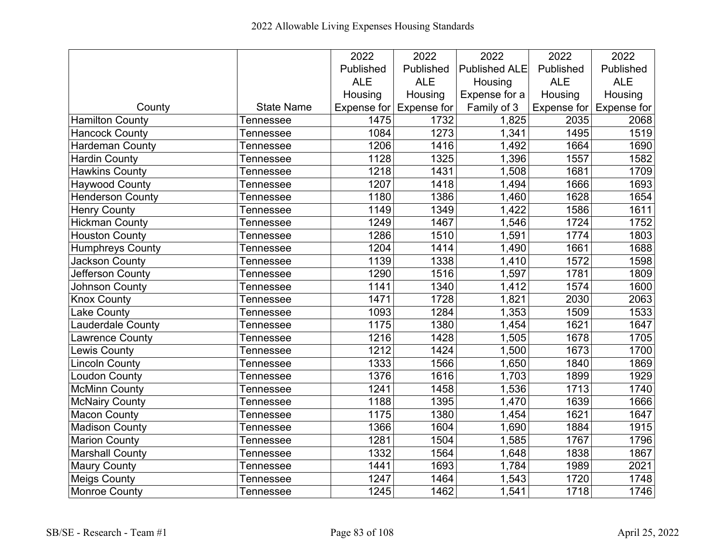|                         |                   | 2022       | 2022                    | 2022                 | 2022       | 2022                            |
|-------------------------|-------------------|------------|-------------------------|----------------------|------------|---------------------------------|
|                         |                   | Published  | Published               | <b>Published ALE</b> | Published  | Published                       |
|                         |                   | <b>ALE</b> | <b>ALE</b>              | Housing              | <b>ALE</b> | <b>ALE</b>                      |
|                         |                   | Housing    | Housing                 | Expense for a        | Housing    | Housing                         |
| County                  | <b>State Name</b> |            | Expense for Expense for | Family of 3          |            | Expense for $\vert$ Expense for |
| <b>Hamilton County</b>  | Tennessee         | 1475       | 1732                    | 1,825                | 2035       | 2068                            |
| Hancock County          | Tennessee         | 1084       | 1273                    | 1,341                | 1495       | 1519                            |
| <b>Hardeman County</b>  | <b>Tennessee</b>  | 1206       | 1416                    | 1,492                | 1664       | 1690                            |
| <b>Hardin County</b>    | Tennessee         | 1128       | 1325                    | 1,396                | 1557       | 1582                            |
| <b>Hawkins County</b>   | Tennessee         | 1218       | 1431                    | 1,508                | 1681       | 1709                            |
| <b>Haywood County</b>   | Tennessee         | 1207       | 1418                    | 1,494                | 1666       | 1693                            |
| Henderson County        | Tennessee         | 1180       | 1386                    | 1,460                | 1628       | 1654                            |
| <b>Henry County</b>     | Tennessee         | 1149       | 1349                    | 1,422                | 1586       | 1611                            |
| <b>Hickman County</b>   | Tennessee         | 1249       | 1467                    | 1,546                | 1724       | 1752                            |
| <b>Houston County</b>   | Tennessee         | 1286       | 1510                    | 1,591                | 1774       | 1803                            |
| <b>Humphreys County</b> | Tennessee         | 1204       | 1414                    | 1,490                | 1661       | 1688                            |
| <b>Jackson County</b>   | Tennessee         | 1139       | 1338                    | 1,410                | 1572       | 1598                            |
| Jefferson County        | Tennessee         | 1290       | 1516                    | 1,597                | 1781       | 1809                            |
| <b>Johnson County</b>   | Tennessee         | 1141       | 1340                    | 1,412                | 1574       | 1600                            |
| <b>Knox County</b>      | Tennessee         | 1471       | 1728                    | 1,821                | 2030       | 2063                            |
| <b>Lake County</b>      | Tennessee         | 1093       | 1284                    | 1,353                | 1509       | 1533                            |
| Lauderdale County       | Tennessee         | 1175       | 1380                    | 1,454                | 1621       | 1647                            |
| Lawrence County         | Tennessee         | 1216       | 1428                    | 1,505                | 1678       | 1705                            |
| <b>Lewis County</b>     | Tennessee         | 1212       | 1424                    | 1,500                | 1673       | 1700                            |
| <b>Lincoln County</b>   | Tennessee         | 1333       | 1566                    | 1,650                | 1840       | 1869                            |
| <b>Loudon County</b>    | Tennessee         | 1376       | 1616                    | 1,703                | 1899       | 1929                            |
| <b>McMinn County</b>    | Tennessee         | 1241       | 1458                    | 1,536                | 1713       | $\overline{17}40$               |
| <b>McNairy County</b>   | Tennessee         | 1188       | 1395                    | 1,470                | 1639       | 1666                            |
| <b>Macon County</b>     | Tennessee         | 1175       | 1380                    | 1,454                | 1621       | 1647                            |
| <b>Madison County</b>   | Tennessee         | 1366       | 1604                    | 1,690                | 1884       | 1915                            |
| <b>Marion County</b>    | Tennessee         | 1281       | 1504                    | 1,585                | 1767       | 1796                            |
| <b>Marshall County</b>  | Tennessee         | 1332       | 1564                    | 1,648                | 1838       | 1867                            |
| <b>Maury County</b>     | Tennessee         | 1441       | 1693                    | 1,784                | 1989       | 2021                            |
| <b>Meigs County</b>     | <b>Tennessee</b>  | 1247       | 1464                    | 1,543                | 1720       | 1748                            |
| <b>Monroe County</b>    | <b>Tennessee</b>  | 1245       | 1462                    | 1,541                | 1718       | 1746                            |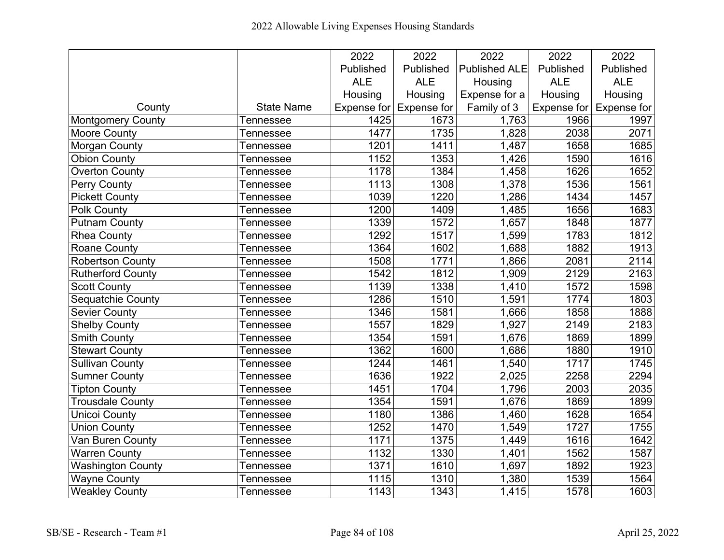|                          |                   | 2022       | 2022                            | 2022                 | 2022       | 2022                            |
|--------------------------|-------------------|------------|---------------------------------|----------------------|------------|---------------------------------|
|                          |                   | Published  | Published                       | <b>Published ALE</b> | Published  | Published                       |
|                          |                   | <b>ALE</b> | <b>ALE</b>                      | Housing              | <b>ALE</b> | <b>ALE</b>                      |
|                          |                   | Housing    | Housing                         | Expense for a        | Housing    | Housing                         |
| County                   | <b>State Name</b> |            | Expense for $\vert$ Expense for | Family of 3          |            | Expense for $\vert$ Expense for |
| Montgomery County        | Tennessee         | 1425       | 1673                            | 1,763                | 1966       | 1997                            |
| <b>Moore County</b>      | Tennessee         | 1477       | 1735                            | 1,828                | 2038       | 2071                            |
| <b>Morgan County</b>     | Tennessee         | 1201       | 1411                            | 1,487                | 1658       | 1685                            |
| <b>Obion County</b>      | <b>Tennessee</b>  | 1152       | 1353                            | 1,426                | 1590       | 1616                            |
| <b>Overton County</b>    | Tennessee         | 1178       | 1384                            | 1,458                | 1626       | 1652                            |
| <b>Perry County</b>      | Tennessee         | 1113       | 1308                            | 1,378                | 1536       | 1561                            |
| <b>Pickett County</b>    | Tennessee         | 1039       | 1220                            | 1,286                | 1434       | 1457                            |
| <b>Polk County</b>       | Tennessee         | 1200       | 1409                            | 1,485                | 1656       | 1683                            |
| <b>Putnam County</b>     | Tennessee         | 1339       | 1572                            | 1,657                | 1848       | 1877                            |
| <b>Rhea County</b>       | Tennessee         | 1292       | 1517                            | 1,599                | 1783       | 1812                            |
| <b>Roane County</b>      | Tennessee         | 1364       | 1602                            | 1,688                | 1882       | 1913                            |
| <b>Robertson County</b>  | Tennessee         | 1508       | 1771                            | 1,866                | 2081       | 2114                            |
| <b>Rutherford County</b> | Tennessee         | 1542       | 1812                            | 1,909                | 2129       | 2163                            |
| <b>Scott County</b>      | Tennessee         | 1139       | 1338                            | 1,410                | 1572       | 1598                            |
| Sequatchie County        | Tennessee         | 1286       | 1510                            | 1,591                | 1774       | 1803                            |
| <b>Sevier County</b>     | Tennessee         | 1346       | 1581                            | 1,666                | 1858       | 1888                            |
| <b>Shelby County</b>     | Tennessee         | 1557       | 1829                            | 1,927                | 2149       | 2183                            |
| <b>Smith County</b>      | Tennessee         | 1354       | 1591                            | 1,676                | 1869       | 1899                            |
| <b>Stewart County</b>    | Tennessee         | 1362       | 1600                            | 1,686                | 1880       | 1910                            |
| <b>Sullivan County</b>   | Tennessee         | 1244       | 1461                            | 1,540                | 1717       | 1745                            |
| <b>Sumner County</b>     | Tennessee         | 1636       | 1922                            | 2,025                | 2258       | 2294                            |
| <b>Tipton County</b>     | Tennessee         | 1451       | 1704                            | 1,796                | 2003       | 2035                            |
| <b>Trousdale County</b>  | Tennessee         | 1354       | 1591                            | 1,676                | 1869       | 1899                            |
| <b>Unicoi County</b>     | Tennessee         | 1180       | 1386                            | 1,460                | 1628       | 1654                            |
| <b>Union County</b>      | Tennessee         | 1252       | 1470                            | 1,549                | 1727       | 1755                            |
| Van Buren County         | Tennessee         | 1171       | 1375                            | 1,449                | 1616       | 1642                            |
| <b>Warren County</b>     | <b>Tennessee</b>  | 1132       | 1330                            | 1,401                | 1562       | 1587                            |
| <b>Washington County</b> | Tennessee         | 1371       | 1610                            | 1,697                | 1892       | 1923                            |
| <b>Wayne County</b>      | Tennessee         | 1115       | 1310                            | 1,380                | 1539       | 1564                            |
| <b>Weakley County</b>    | <b>Tennessee</b>  | 1143       | 1343                            | 1,415                | 1578       | 1603                            |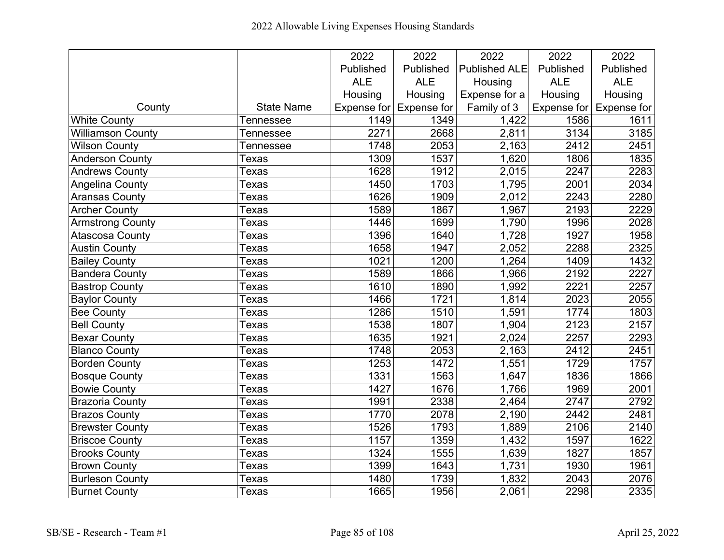|                          |                   | 2022        | 2022               | 2022                 | 2022        | 2022        |
|--------------------------|-------------------|-------------|--------------------|----------------------|-------------|-------------|
|                          |                   | Published   | Published          | <b>Published ALE</b> | Published   | Published   |
|                          |                   | <b>ALE</b>  | <b>ALE</b>         | Housing              | <b>ALE</b>  | <b>ALE</b>  |
|                          |                   | Housing     | Housing            | Expense for a        | Housing     | Housing     |
| County                   | <b>State Name</b> | Expense for | <b>Expense for</b> | Family of 3          | Expense for | Expense for |
| <b>White County</b>      | Tennessee         | 1149        | 1349               | 1,422                | 1586        | 1611        |
| <b>Williamson County</b> | Tennessee         | 2271        | 2668               | 2,811                | 3134        | 3185        |
| <b>Wilson County</b>     | Tennessee         | 1748        | 2053               | 2,163                | 2412        | 2451        |
| <b>Anderson County</b>   | Texas             | 1309        | 1537               | 1,620                | 1806        | 1835        |
| <b>Andrews County</b>    | Texas             | 1628        | 1912               | 2,015                | 2247        | 2283        |
| <b>Angelina County</b>   | Texas             | 1450        | 1703               | 1,795                | 2001        | 2034        |
| <b>Aransas County</b>    | Texas             | 1626        | 1909               | 2,012                | 2243        | 2280        |
| <b>Archer County</b>     | Texas             | 1589        | 1867               | 1,967                | 2193        | 2229        |
| <b>Armstrong County</b>  | Texas             | 1446        | 1699               | 1,790                | 1996        | 2028        |
| <b>Atascosa County</b>   | Texas             | 1396        | 1640               | 1,728                | 1927        | 1958        |
| <b>Austin County</b>     | Texas             | 1658        | 1947               | 2,052                | 2288        | 2325        |
| <b>Bailey County</b>     | Texas             | 1021        | 1200               | 1,264                | 1409        | 1432        |
| <b>Bandera County</b>    | Texas             | 1589        | 1866               | 1,966                | 2192        | 2227        |
| <b>Bastrop County</b>    | Texas             | 1610        | 1890               | 1,992                | 2221        | 2257        |
| <b>Baylor County</b>     | Texas             | 1466        | 1721               | 1,814                | 2023        | 2055        |
| <b>Bee County</b>        | Texas             | 1286        | 1510               | 1,591                | 1774        | 1803        |
| <b>Bell County</b>       | Texas             | 1538        | 1807               | 1,904                | 2123        | 2157        |
| <b>Bexar County</b>      | Texas             | 1635        | 1921               | 2,024                | 2257        | 2293        |
| <b>Blanco County</b>     | Texas             | 1748        | 2053               | 2,163                | 2412        | 2451        |
| <b>Borden County</b>     | Texas             | 1253        | 1472               | 1,551                | 1729        | 1757        |
| <b>Bosque County</b>     | Texas             | 1331        | 1563               | 1,647                | 1836        | 1866        |
| <b>Bowie County</b>      | Texas             | 1427        | 1676               | 1,766                | 1969        | 2001        |
| <b>Brazoria County</b>   | Texas             | 1991        | 2338               | 2,464                | 2747        | 2792        |
| <b>Brazos County</b>     | Texas             | 1770        | 2078               | 2,190                | 2442        | 2481        |
| <b>Brewster County</b>   | Texas             | 1526        | 1793               | 1,889                | 2106        | 2140        |
| <b>Briscoe County</b>    | Texas             | 1157        | 1359               | 1,432                | 1597        | 1622        |
| <b>Brooks County</b>     | Texas             | 1324        | 1555               | 1,639                | 1827        | 1857        |
| <b>Brown County</b>      | Texas             | 1399        | 1643               | 1,731                | 1930        | 1961        |
| <b>Burleson County</b>   | Texas             | 1480        | 1739               | 1,832                | 2043        | 2076        |
| <b>Burnet County</b>     | Texas             | 1665        | 1956               | 2,061                | 2298        | 2335        |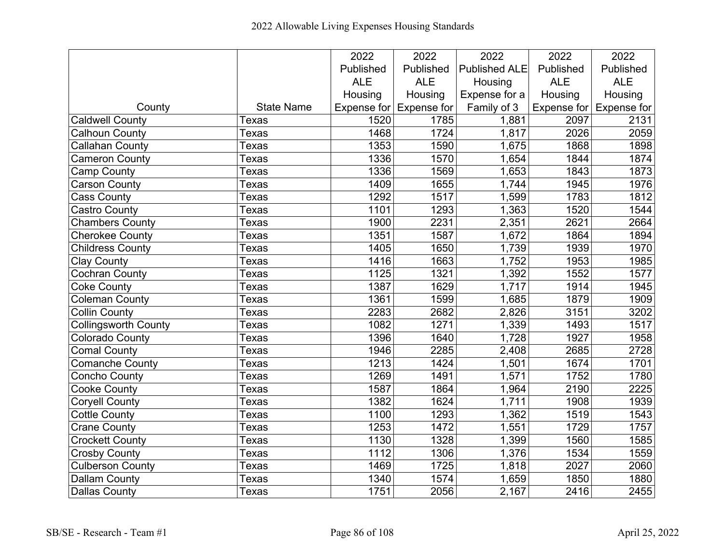|                             |                   | 2022       | 2022                    | 2022                 | 2022       | 2022                            |
|-----------------------------|-------------------|------------|-------------------------|----------------------|------------|---------------------------------|
|                             |                   | Published  | Published               | <b>Published ALE</b> | Published  | Published                       |
|                             |                   | <b>ALE</b> | <b>ALE</b>              | Housing              | <b>ALE</b> | <b>ALE</b>                      |
|                             |                   | Housing    | Housing                 | Expense for a        | Housing    | Housing                         |
| County                      | <b>State Name</b> |            | Expense for Expense for | Family of 3          |            | Expense for $\vert$ Expense for |
| <b>Caldwell County</b>      | Texas             | 1520       | 1785                    | 1,881                | 2097       | 2131                            |
| <b>Calhoun County</b>       | Texas             | 1468       | 1724                    | 1,817                | 2026       | 2059                            |
| <b>Callahan County</b>      | Texas             | 1353       | 1590                    | 1,675                | 1868       | 1898                            |
| <b>Cameron County</b>       | Texas             | 1336       | 1570                    | 1,654                | 1844       | 1874                            |
| <b>Camp County</b>          | Texas             | 1336       | 1569                    | 1,653                | 1843       | 1873                            |
| <b>Carson County</b>        | Texas             | 1409       | 1655                    | 1,744                | 1945       | 1976                            |
| <b>Cass County</b>          | Texas             | 1292       | 1517                    | 1,599                | 1783       | 1812                            |
| <b>Castro County</b>        | Texas             | 1101       | 1293                    | 1,363                | 1520       | 1544                            |
| <b>Chambers County</b>      | Texas             | 1900       | 2231                    | 2,351                | 2621       | 2664                            |
| Cherokee County             | Texas             | 1351       | 1587                    | 1,672                | 1864       | 1894                            |
| <b>Childress County</b>     | Texas             | 1405       | 1650                    | 1,739                | 1939       | 1970                            |
| <b>Clay County</b>          | Texas             | 1416       | 1663                    | 1,752                | 1953       | 1985                            |
| <b>Cochran County</b>       | Texas             | 1125       | 1321                    | 1,392                | 1552       | 1577                            |
| <b>Coke County</b>          | Texas             | 1387       | 1629                    | 1,717                | 1914       | 1945                            |
| <b>Coleman County</b>       | Texas             | 1361       | 1599                    | 1,685                | 1879       | 1909                            |
| <b>Collin County</b>        | Texas             | 2283       | 2682                    | 2,826                | 3151       | 3202                            |
| <b>Collingsworth County</b> | Texas             | 1082       | 1271                    | 1,339                | 1493       | 1517                            |
| <b>Colorado County</b>      | Texas             | 1396       | 1640                    | 1,728                | 1927       | 1958                            |
| <b>Comal County</b>         | Texas             | 1946       | 2285                    | 2,408                | 2685       | 2728                            |
| <b>Comanche County</b>      | Texas             | 1213       | 1424                    | 1,501                | 1674       | 1701                            |
| Concho County               | Texas             | 1269       | 1491                    | 1,571                | 1752       | 1780                            |
| <b>Cooke County</b>         | Texas             | 1587       | 1864                    | 1,964                | 2190       | 2225                            |
| <b>Coryell County</b>       | Texas             | 1382       | 1624                    | 1,711                | 1908       | 1939                            |
| <b>Cottle County</b>        | Texas             | 1100       | 1293                    | 1,362                | 1519       | 1543                            |
| <b>Crane County</b>         | Texas             | 1253       | 1472                    | 1,551                | 1729       | 1757                            |
| <b>Crockett County</b>      | Texas             | 1130       | 1328                    | 1,399                | 1560       | 1585                            |
| <b>Crosby County</b>        | Texas             | 1112       | 1306                    | 1,376                | 1534       | 1559                            |
| <b>Culberson County</b>     | Texas             | 1469       | 1725                    | 1,818                | 2027       | 2060                            |
| Dallam County               | Texas             | 1340       | 1574                    | 1,659                | 1850       | 1880                            |
| <b>Dallas County</b>        | Texas             | 1751       | 2056                    | 2,167                | 2416       | 2455                            |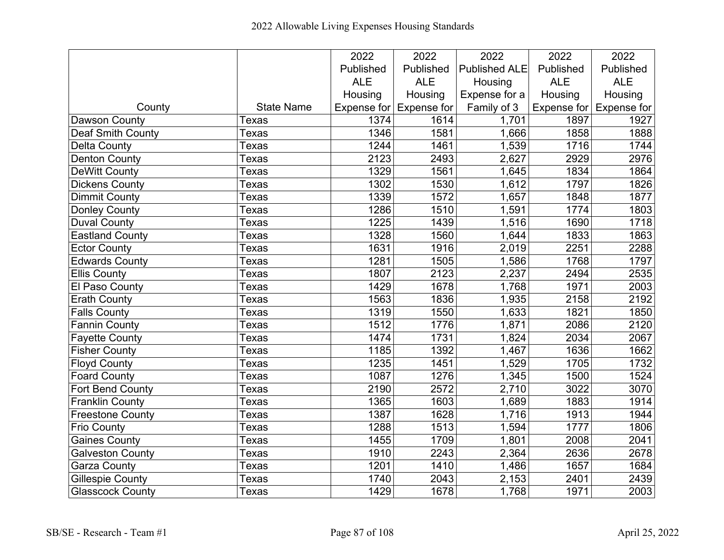|                          |                   | 2022       | 2022                    | 2022                 | 2022       | 2022                            |
|--------------------------|-------------------|------------|-------------------------|----------------------|------------|---------------------------------|
|                          |                   | Published  | Published               | <b>Published ALE</b> | Published  | Published                       |
|                          |                   | <b>ALE</b> | <b>ALE</b>              | Housing              | <b>ALE</b> | <b>ALE</b>                      |
|                          |                   | Housing    | Housing                 | Expense for a        | Housing    | Housing                         |
| County                   | <b>State Name</b> |            | Expense for Expense for | Family of 3          |            | Expense for $\vert$ Expense for |
| Dawson County            | Texas             | 1374       | 1614                    | 1,701                | 1897       | 1927                            |
| <b>Deaf Smith County</b> | Texas             | 1346       | 1581                    | 1,666                | 1858       | 1888                            |
| <b>Delta County</b>      | Texas             | 1244       | 1461                    | 1,539                | 1716       | 1744                            |
| <b>Denton County</b>     | Texas             | 2123       | 2493                    | 2,627                | 2929       | 2976                            |
| DeWitt County            | Texas             | 1329       | 1561                    | 1,645                | 1834       | 1864                            |
| <b>Dickens County</b>    | Texas             | 1302       | 1530                    | 1,612                | 1797       | 1826                            |
| <b>Dimmit County</b>     | Texas             | 1339       | 1572                    | 1,657                | 1848       | 1877                            |
| <b>Donley County</b>     | Texas             | 1286       | 1510                    | 1,591                | 1774       | 1803                            |
| <b>Duval County</b>      | Texas             | 1225       | 1439                    | 1,516                | 1690       | 1718                            |
| <b>Eastland County</b>   | Texas             | 1328       | 1560                    | 1,644                | 1833       | 1863                            |
| <b>Ector County</b>      | Texas             | 1631       | 1916                    | 2,019                | 2251       | 2288                            |
| <b>Edwards County</b>    | Texas             | 1281       | 1505                    | 1,586                | 1768       | 1797                            |
| <b>Ellis County</b>      | Texas             | 1807       | 2123                    | 2,237                | 2494       | 2535                            |
| El Paso County           | Texas             | 1429       | 1678                    | 1,768                | 1971       | 2003                            |
| <b>Erath County</b>      | Texas             | 1563       | 1836                    | 1,935                | 2158       | 2192                            |
| <b>Falls County</b>      | Texas             | 1319       | 1550                    | 1,633                | 1821       | 1850                            |
| Fannin County            | Texas             | 1512       | 1776                    | 1,871                | 2086       | 2120                            |
| <b>Fayette County</b>    | Texas             | 1474       | 1731                    | 1,824                | 2034       | 2067                            |
| <b>Fisher County</b>     | Texas             | 1185       | 1392                    | 1,467                | 1636       | 1662                            |
| <b>Floyd County</b>      | Texas             | 1235       | 1451                    | 1,529                | 1705       | 1732                            |
| <b>Foard County</b>      | <b>Texas</b>      | 1087       | 1276                    | 1,345                | 1500       | 1524                            |
| <b>Fort Bend County</b>  | Texas             | 2190       | 2572                    | 2,710                | 3022       | 3070                            |
| <b>Franklin County</b>   | Texas             | 1365       | 1603                    | 1,689                | 1883       | 1914                            |
| <b>Freestone County</b>  | Texas             | 1387       | 1628                    | 1,716                | 1913       | 1944                            |
| <b>Frio County</b>       | Texas             | 1288       | 1513                    | 1,594                | 1777       | 1806                            |
| <b>Gaines County</b>     | Texas             | 1455       | 1709                    | 1,801                | 2008       | 2041                            |
| <b>Galveston County</b>  | Texas             | 1910       | 2243                    | 2,364                | 2636       | 2678                            |
| <b>Garza County</b>      | Texas             | 1201       | 1410                    | 1,486                | 1657       | 1684                            |
| <b>Gillespie County</b>  | Texas             | 1740       | 2043                    | 2,153                | 2401       | 2439                            |
| <b>Glasscock County</b>  | Texas             | 1429       | 1678                    | 1,768                | 1971       | 2003                            |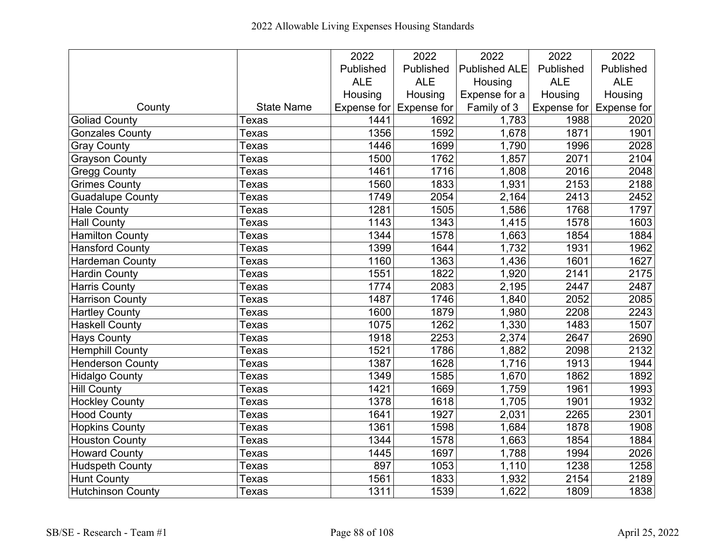|                          |                   | 2022       | 2022                    | 2022                 | 2022       | 2022                    |
|--------------------------|-------------------|------------|-------------------------|----------------------|------------|-------------------------|
|                          |                   | Published  | Published               | <b>Published ALE</b> | Published  | Published               |
|                          |                   | <b>ALE</b> | <b>ALE</b>              | Housing              | <b>ALE</b> | <b>ALE</b>              |
|                          |                   | Housing    | Housing                 | Expense for a        | Housing    | Housing                 |
| County                   | <b>State Name</b> |            | Expense for Expense for | Family of 3          |            | Expense for Expense for |
| <b>Goliad County</b>     | Texas             | 1441       | 1692                    | 1,783                | 1988       | 2020                    |
| <b>Gonzales County</b>   | Texas             | 1356       | 1592                    | 1,678                | 1871       | 1901                    |
| <b>Gray County</b>       | Texas             | 1446       | 1699                    | 1,790                | 1996       | 2028                    |
| <b>Grayson County</b>    | Texas             | 1500       | 1762                    | 1,857                | 2071       | 2104                    |
| <b>Gregg County</b>      | Texas             | 1461       | 1716                    | 1,808                | 2016       | 2048                    |
| <b>Grimes County</b>     | Texas             | 1560       | 1833                    | 1,931                | 2153       | 2188                    |
| <b>Guadalupe County</b>  | Texas             | 1749       | 2054                    | 2,164                | 2413       | 2452                    |
| <b>Hale County</b>       | Texas             | 1281       | 1505                    | 1,586                | 1768       | 1797                    |
| <b>Hall County</b>       | Texas             | 1143       | 1343                    | 1,415                | 1578       | 1603                    |
| <b>Hamilton County</b>   | Texas             | 1344       | 1578                    | 1,663                | 1854       | 1884                    |
| <b>Hansford County</b>   | Texas             | 1399       | 1644                    | 1,732                | 1931       | 1962                    |
| <b>Hardeman County</b>   | Texas             | 1160       | 1363                    | 1,436                | 1601       | 1627                    |
| <b>Hardin County</b>     | Texas             | 1551       | 1822                    | 1,920                | 2141       | 2175                    |
| <b>Harris County</b>     | Texas             | 1774       | 2083                    | 2,195                | 2447       | 2487                    |
| <b>Harrison County</b>   | Texas             | 1487       | 1746                    | 1,840                | 2052       | 2085                    |
| <b>Hartley County</b>    | Texas             | 1600       | 1879                    | 1,980                | 2208       | 2243                    |
| <b>Haskell County</b>    | Texas             | 1075       | 1262                    | 1,330                | 1483       | 1507                    |
| <b>Hays County</b>       | <b>Texas</b>      | 1918       | 2253                    | 2,374                | 2647       | 2690                    |
| <b>Hemphill County</b>   | Texas             | 1521       | 1786                    | 1,882                | 2098       | 2132                    |
| <b>Henderson County</b>  | Texas             | 1387       | 1628                    | 1,716                | 1913       | 1944                    |
| <b>Hidalgo County</b>    | Texas             | 1349       | 1585                    | 1,670                | 1862       | 1892                    |
| <b>Hill County</b>       | Texas             | 1421       | 1669                    | 1,759                | 1961       | 1993                    |
| <b>Hockley County</b>    | Texas             | 1378       | 1618                    | 1,705                | 1901       | 1932                    |
| <b>Hood County</b>       | Texas             | 1641       | 1927                    | 2,031                | 2265       | 2301                    |
| <b>Hopkins County</b>    | <b>Texas</b>      | 1361       | 1598                    | 1,684                | 1878       | 1908                    |
| Houston County           | Texas             | 1344       | 1578                    | 1,663                | 1854       | 1884                    |
| Howard County            | Texas             | 1445       | 1697                    | 1,788                | 1994       | 2026                    |
| <b>Hudspeth County</b>   | Texas             | 897        | 1053                    | 1,110                | 1238       | 1258                    |
| <b>Hunt County</b>       | Texas             | 1561       | 1833                    | 1,932                | 2154       | 2189                    |
| <b>Hutchinson County</b> | Texas             | 1311       | 1539                    | 1,622                | 1809       | 1838                    |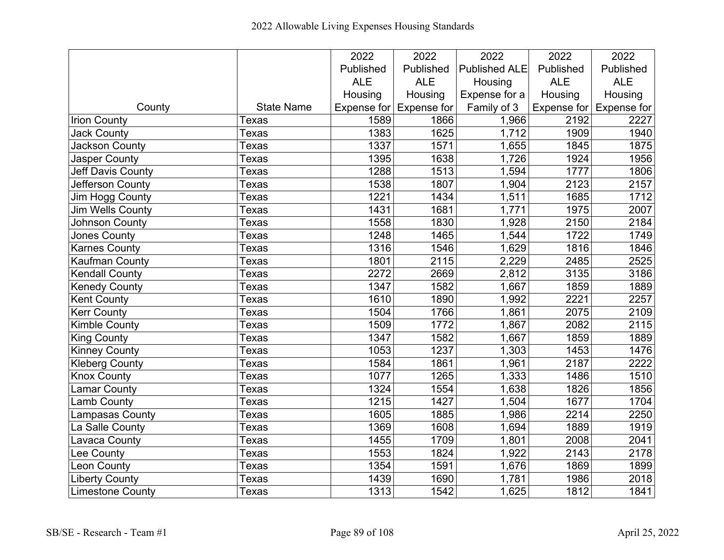|                          |                   | 2022       | 2022                    | 2022                 | 2022              | 2022                    |
|--------------------------|-------------------|------------|-------------------------|----------------------|-------------------|-------------------------|
|                          |                   | Published  | Published               | <b>Published ALE</b> | Published         | Published               |
|                          |                   | <b>ALE</b> | <b>ALE</b>              | Housing              | <b>ALE</b>        | <b>ALE</b>              |
|                          |                   | Housing    | Housing                 | Expense for a        | Housing           | Housing                 |
| County                   | <b>State Name</b> |            | Expense for Expense for | Family of 3          |                   | Expense for Expense for |
| <b>Irion County</b>      | Texas             | 1589       | 1866                    | 1,966                | 2192              | 2227                    |
| <b>Jack County</b>       | Texas             | 1383       | 1625                    | 1,712                | 1909              | 1940                    |
| Jackson County           | Texas             | 1337       | 1571                    | 1,655                | 1845              | 1875                    |
| <b>Jasper County</b>     | Texas             | 1395       | 1638                    | 1,726                | 1924              | 1956                    |
| <b>Jeff Davis County</b> | Texas             | 1288       | 1513                    | 1,594                | 1777              | 1806                    |
| Jefferson County         | Texas             | 1538       | 1807                    | 1,904                | 2123              | 2157                    |
| Jim Hogg County          | Texas             | 1221       | 1434                    | 1,511                | 1685              | 1712                    |
| <b>Jim Wells County</b>  | Texas             | 1431       | 1681                    | 1,771                | 1975              | 2007                    |
| <b>Johnson County</b>    | Texas             | 1558       | 1830                    | 1,928                | 2150              | 2184                    |
| <b>Jones County</b>      | Texas             | 1248       | 1465                    | 1,544                | 1722              | 1749                    |
| <b>Karnes County</b>     | Texas             | 1316       | 1546                    | 1,629                | 1816              | 1846                    |
| <b>Kaufman County</b>    | Texas             | 1801       | 2115                    | 2,229                | 2485              | 2525                    |
| <b>Kendall County</b>    | Texas             | 2272       | 2669                    | 2,812                | 3135              | 3186                    |
| <b>Kenedy County</b>     | Texas             | 1347       | 1582                    | 1,667                | 1859              | 1889                    |
| <b>Kent County</b>       | Texas             | 1610       | 1890                    | 1,992                | 2221              | 2257                    |
| <b>Kerr County</b>       | Texas             | 1504       | 1766                    | 1,861                | 2075              | 2109                    |
| <b>Kimble County</b>     | Texas             | 1509       | 1772                    | 1,867                | 2082              | 2115                    |
| <b>King County</b>       | Texas             | 1347       | 1582                    | 1,667                | 1859              | 1889                    |
| <b>Kinney County</b>     | Texas             | 1053       | 1237                    | 1,303                | 1453              | 1476                    |
| <b>Kleberg County</b>    | Texas             | 1584       | 1861                    | 1,961                | 2187              | 2222                    |
| <b>Knox County</b>       | Texas             | 1077       | 1265                    | 1,333                | 1486              | 1510                    |
| <b>Lamar County</b>      | Texas             | 1324       | 1554                    | 1,638                | 1826              | 1856                    |
| <b>Lamb County</b>       | Texas             | 1215       | 1427                    | 1,504                | 1677              | 1704                    |
| Lampasas County          | Texas             | 1605       | 1885                    | 1,986                | $\overline{2214}$ | 2250                    |
| La Salle County          | Texas             | 1369       | 1608                    | 1,694                | 1889              | 1919                    |
| Lavaca County            | Texas             | 1455       | 1709                    | 1,801                | 2008              | 2041                    |
| Lee County               | Texas             | 1553       | 1824                    | 1,922                | 2143              | 2178                    |
| Leon County              | Texas             | 1354       | 1591                    | 1,676                | 1869              | 1899                    |
| <b>Liberty County</b>    | Texas             | 1439       | 1690                    | 1,781                | 1986              | 2018                    |
| <b>Limestone County</b>  | Texas             | 1313       | 1542                    | 1,625                | 1812              | 1841                    |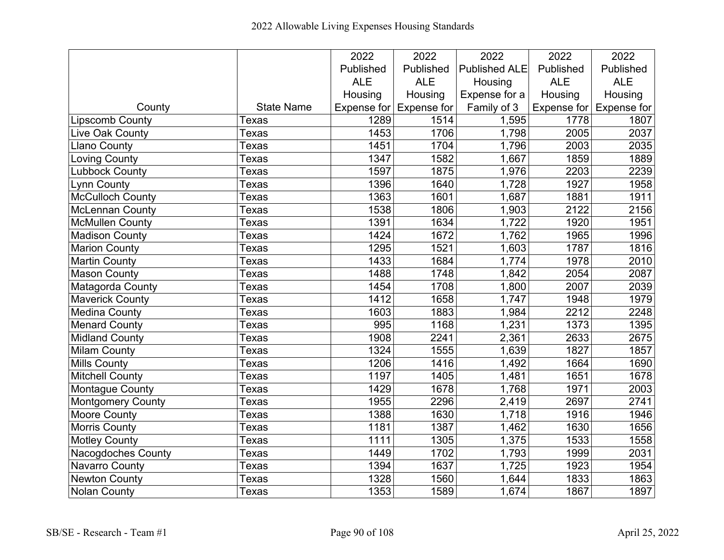|                           |                   | 2022       | 2022                    | 2022                 | 2022       | 2022                    |
|---------------------------|-------------------|------------|-------------------------|----------------------|------------|-------------------------|
|                           |                   | Published  | Published               | <b>Published ALE</b> | Published  | Published               |
|                           |                   | <b>ALE</b> | <b>ALE</b>              | Housing              | <b>ALE</b> | <b>ALE</b>              |
|                           |                   | Housing    | Housing                 | Expense for a        | Housing    | Housing                 |
| County                    | <b>State Name</b> |            | Expense for Expense for | Family of 3          |            | Expense for Expense for |
| <b>Lipscomb County</b>    | Texas             | 1289       | 1514                    | 1,595                | 1778       | 1807                    |
| Live Oak County           | Texas             | 1453       | 1706                    | 1,798                | 2005       | 2037                    |
| <b>Llano County</b>       | Texas             | 1451       | 1704                    | 1,796                | 2003       | 2035                    |
| <b>Loving County</b>      | Texas             | 1347       | 1582                    | 1,667                | 1859       | 1889                    |
| <b>Lubbock County</b>     | Texas             | 1597       | 1875                    | 1,976                | 2203       | 2239                    |
| <b>Lynn County</b>        | Texas             | 1396       | 1640                    | 1,728                | 1927       | 1958                    |
| McCulloch County          | Texas             | 1363       | 1601                    | 1,687                | 1881       | 1911                    |
| <b>McLennan County</b>    | Texas             | 1538       | 1806                    | 1,903                | 2122       | 2156                    |
| <b>McMullen County</b>    | Texas             | 1391       | 1634                    | 1,722                | 1920       | 1951                    |
| <b>Madison County</b>     | Texas             | 1424       | 1672                    | 1,762                | 1965       | 1996                    |
| Marion County             | Texas             | 1295       | 1521                    | 1,603                | 1787       | 1816                    |
| <b>Martin County</b>      | Texas             | 1433       | 1684                    | 1,774                | 1978       | 2010                    |
| <b>Mason County</b>       | Texas             | 1488       | 1748                    | 1,842                | 2054       | 2087                    |
| Matagorda County          | Texas             | 1454       | 1708                    | 1,800                | 2007       | 2039                    |
| <b>Maverick County</b>    | Texas             | 1412       | 1658                    | 1,747                | 1948       | 1979                    |
| <b>Medina County</b>      | Texas             | 1603       | 1883                    | 1,984                | 2212       | 2248                    |
| <b>Menard County</b>      | Texas             | 995        | 1168                    | 1,231                | 1373       | 1395                    |
| <b>Midland County</b>     | Texas             | 1908       | 2241                    | 2,361                | 2633       | 2675                    |
| <b>Milam County</b>       | Texas             | 1324       | 1555                    | 1,639                | 1827       | 1857                    |
| <b>Mills County</b>       | Texas             | 1206       | 1416                    | 1,492                | 1664       | 1690                    |
| <b>Mitchell County</b>    | Texas             | 1197       | 1405                    | 1,481                | 1651       | 1678                    |
| <b>Montague County</b>    | Texas             | 1429       | 1678                    | 1,768                | 1971       | 2003                    |
| <b>Montgomery County</b>  | Texas             | 1955       | 2296                    | 2,419                | 2697       | 2741                    |
| <b>Moore County</b>       | Texas             | 1388       | 1630                    | 1,718                | 1916       | 1946                    |
| <b>Morris County</b>      | Texas             | 1181       | 1387                    | 1,462                | 1630       | 1656                    |
| <b>Motley County</b>      | Texas             | 1111       | 1305                    | 1,375                | 1533       | 1558                    |
| <b>Nacogdoches County</b> | Texas             | 1449       | 1702                    | 1,793                | 1999       | 2031                    |
| Navarro County            | Texas             | 1394       | 1637                    | 1,725                | 1923       | 1954                    |
| <b>Newton County</b>      | Texas             | 1328       | 1560                    | 1,644                | 1833       | 1863                    |
| <b>Nolan County</b>       | Texas             | 1353       | 1589                    | 1,674                | 1867       | 1897                    |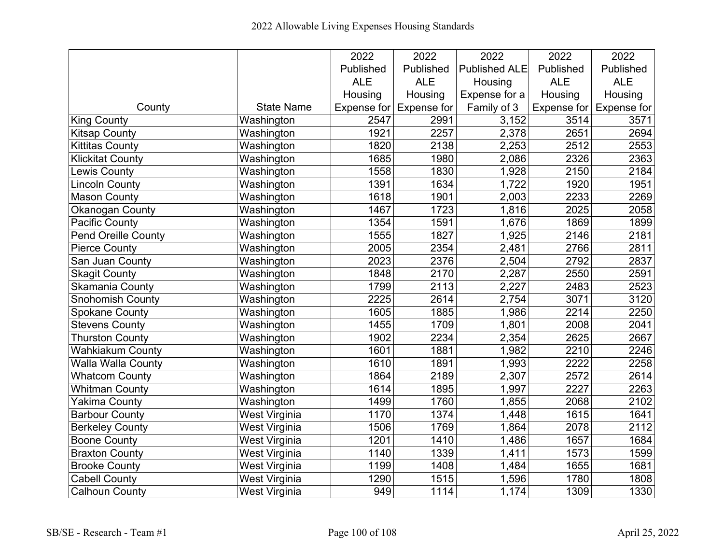|                            |                   | 2022        | 2022               | 2022                 | 2022              | 2022                            |
|----------------------------|-------------------|-------------|--------------------|----------------------|-------------------|---------------------------------|
|                            |                   | Published   | Published          | <b>Published ALE</b> | Published         | Published                       |
|                            |                   | <b>ALE</b>  | <b>ALE</b>         | Housing              | <b>ALE</b>        | <b>ALE</b>                      |
|                            |                   | Housing     | Housing            | Expense for a        | Housing           | Housing                         |
| County                     | <b>State Name</b> | Expense for | <b>Expense for</b> | Family of 3          |                   | Expense for $\vert$ Expense for |
| <b>King County</b>         | Washington        | 2547        | 2991               | 3,152                | 3514              | 3571                            |
| <b>Kitsap County</b>       | Washington        | 1921        | 2257               | 2,378                | 2651              | 2694                            |
| <b>Kittitas County</b>     | Washington        | 1820        | 2138               | 2,253                | 2512              | 2553                            |
| <b>Klickitat County</b>    | Washington        | 1685        | 1980               | 2,086                | 2326              | 2363                            |
| Lewis County               | Washington        | 1558        | 1830               | 1,928                | 2150              | 2184                            |
| <b>Lincoln County</b>      | Washington        | 1391        | 1634               | 1,722                | 1920              | 1951                            |
| <b>Mason County</b>        | Washington        | 1618        | 1901               | 2,003                | 2233              | 2269                            |
| <b>Okanogan County</b>     | Washington        | 1467        | 1723               | 1,816                | 2025              | 2058                            |
| <b>Pacific County</b>      | Washington        | 1354        | 1591               | 1,676                | 1869              | 1899                            |
| <b>Pend Oreille County</b> | Washington        | 1555        | 1827               | 1,925                | $\overline{21}46$ | 2181                            |
| <b>Pierce County</b>       | Washington        | 2005        | 2354               | 2,481                | 2766              | 2811                            |
| San Juan County            | Washington        | 2023        | 2376               | 2,504                | 2792              | 2837                            |
| <b>Skagit County</b>       | Washington        | 1848        | 2170               | 2,287                | 2550              | 2591                            |
| <b>Skamania County</b>     | Washington        | 1799        | 2113               | 2,227                | 2483              | 2523                            |
| <b>Snohomish County</b>    | Washington        | 2225        | 2614               | 2,754                | 3071              | 3120                            |
| <b>Spokane County</b>      | Washington        | 1605        | 1885               | 1,986                | $\overline{22}14$ | 2250                            |
| <b>Stevens County</b>      | Washington        | 1455        | 1709               | 1,801                | 2008              | 2041                            |
| <b>Thurston County</b>     | Washington        | 1902        | 2234               | 2,354                | 2625              | 2667                            |
| <b>Wahkiakum County</b>    | Washington        | 1601        | 1881               | 1,982                | 2210              | 2246                            |
| <b>Walla Walla County</b>  | Washington        | 1610        | 1891               | 1,993                | 2222              | 2258                            |
| <b>Whatcom County</b>      | Washington        | 1864        | 2189               | 2,307                | 2572              | 2614                            |
| <b>Whitman County</b>      | Washington        | 1614        | 1895               | 1,997                | 2227              | 2263                            |
| <b>Yakima County</b>       | Washington        | 1499        | 1760               | 1,855                | 2068              | 2102                            |
| <b>Barbour County</b>      | West Virginia     | 1170        | 1374               | 1,448                | 1615              | 1641                            |
| <b>Berkeley County</b>     | West Virginia     | 1506        | 1769               | 1,864                | 2078              | 2112                            |
| <b>Boone County</b>        | West Virginia     | 1201        | 1410               | 1,486                | 1657              | 1684                            |
| <b>Braxton County</b>      | West Virginia     | 1140        | 1339               | 1,411                | 1573              | 1599                            |
| <b>Brooke County</b>       | West Virginia     | 1199        | 1408               | 1,484                | 1655              | 1681                            |
| <b>Cabell County</b>       | West Virginia     | 1290        | 1515               | 1,596                | 1780              | 1808                            |
| <b>Calhoun County</b>      | West Virginia     | 949         | 1114               | 1,174                | 1309              | 1330                            |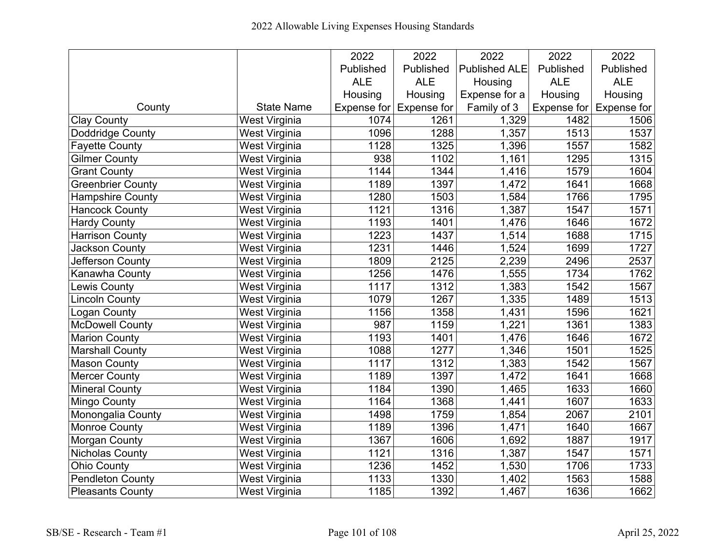|                         |                      | 2022       | 2022                    | 2022                 | 2022       | 2022                            |
|-------------------------|----------------------|------------|-------------------------|----------------------|------------|---------------------------------|
|                         |                      | Published  | Published               | <b>Published ALE</b> | Published  | Published                       |
|                         |                      | <b>ALE</b> | <b>ALE</b>              | Housing              | <b>ALE</b> | <b>ALE</b>                      |
|                         |                      | Housing    | Housing                 | Expense for a        | Housing    | Housing                         |
| County                  | <b>State Name</b>    |            | Expense for Expense for | Family of 3          |            | Expense for $\vert$ Expense for |
| <b>Clay County</b>      | <b>West Virginia</b> | 1074       | 1261                    | 1,329                | 1482       | 1506                            |
| Doddridge County        | West Virginia        | 1096       | 1288                    | 1,357                | 1513       | 1537                            |
| <b>Fayette County</b>   | West Virginia        | 1128       | 1325                    | 1,396                | 1557       | 1582                            |
| <b>Gilmer County</b>    | West Virginia        | 938        | 1102                    | 1,161                | 1295       | 1315                            |
| <b>Grant County</b>     | West Virginia        | 1144       | 1344                    | 1,416                | 1579       | 1604                            |
| Greenbrier County       | West Virginia        | 1189       | 1397                    | 1,472                | 1641       | 1668                            |
| <b>Hampshire County</b> | West Virginia        | 1280       | 1503                    | 1,584                | 1766       | 1795                            |
| <b>Hancock County</b>   | West Virginia        | 1121       | 1316                    | 1,387                | 1547       | 1571                            |
| <b>Hardy County</b>     | West Virginia        | 1193       | 1401                    | 1,476                | 1646       | 1672                            |
| <b>Harrison County</b>  | West Virginia        | 1223       | 1437                    | 1,514                | 1688       | 1715                            |
| <b>Jackson County</b>   | West Virginia        | 1231       | 1446                    | 1,524                | 1699       | 1727                            |
| Jefferson County        | West Virginia        | 1809       | 2125                    | 2,239                | 2496       | 2537                            |
| <b>Kanawha County</b>   | West Virginia        | 1256       | 1476                    | 1,555                | 1734       | 1762                            |
| <b>Lewis County</b>     | West Virginia        | 1117       | 1312                    | 1,383                | 1542       | 1567                            |
| <b>Lincoln County</b>   | West Virginia        | 1079       | 1267                    | 1,335                | 1489       | $\overline{1}513$               |
| Logan County            | <b>West Virginia</b> | 1156       | 1358                    | 1,431                | 1596       | 1621                            |
| <b>McDowell County</b>  | West Virginia        | 987        | 1159                    | 1,221                | 1361       | 1383                            |
| <b>Marion County</b>    | West Virginia        | 1193       | 1401                    | 1,476                | 1646       | 1672                            |
| <b>Marshall County</b>  | West Virginia        | 1088       | 1277                    | 1,346                | 1501       | 1525                            |
| <b>Mason County</b>     | West Virginia        | 1117       | 1312                    | 1,383                | 1542       | 1567                            |
| <b>Mercer County</b>    | West Virginia        | 1189       | 1397                    | 1,472                | 1641       | 1668                            |
| <b>Mineral County</b>   | West Virginia        | 1184       | 1390                    | 1,465                | 1633       | 1660                            |
| <b>Mingo County</b>     | West Virginia        | 1164       | 1368                    | 1,441                | 1607       | 1633                            |
| Monongalia County       | West Virginia        | 1498       | 1759                    | 1,854                | 2067       | 2101                            |
| <b>Monroe County</b>    | West Virginia        | 1189       | 1396                    | 1,471                | 1640       | 1667                            |
| <b>Morgan County</b>    | West Virginia        | 1367       | 1606                    | 1,692                | 1887       | 1917                            |
| Nicholas County         | West Virginia        | 1121       | 1316                    | 1,387                | 1547       | 1571                            |
| <b>Ohio County</b>      | West Virginia        | 1236       | 1452                    | 1,530                | 1706       | 1733                            |
| <b>Pendleton County</b> | West Virginia        | 1133       | 1330                    | 1,402                | 1563       | 1588                            |
| <b>Pleasants County</b> | West Virginia        | 1185       | 1392                    | 1,467                | 1636       | 1662                            |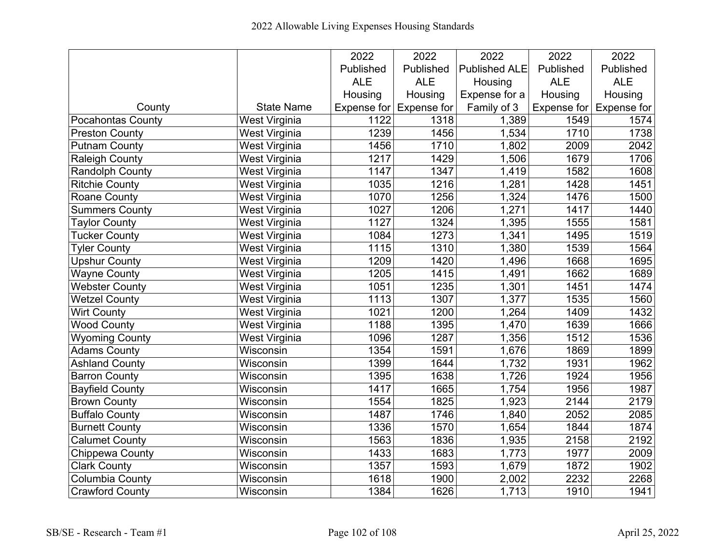|                        |                      | 2022        | 2022               | 2022                 | 2022             | 2022               |
|------------------------|----------------------|-------------|--------------------|----------------------|------------------|--------------------|
|                        |                      | Published   | Published          | <b>Published ALE</b> | Published        | Published          |
|                        |                      | <b>ALE</b>  | <b>ALE</b>         | Housing              | <b>ALE</b>       | <b>ALE</b>         |
|                        |                      | Housing     | Housing            | Expense for a        | Housing          | Housing            |
| County                 | <b>State Name</b>    | Expense for | <b>Expense for</b> | Family of 3          | Expense for      | <b>Expense for</b> |
| Pocahontas County      | <b>West Virginia</b> | 1122        | 1318               | 1,389                | 1549             | 1574               |
| <b>Preston County</b>  | <b>West Virginia</b> | 1239        | 1456               | 1,534                | $\frac{1}{1710}$ | 1738               |
| <b>Putnam County</b>   | West Virginia        | 1456        | 1710               | 1,802                | 2009             | 2042               |
| <b>Raleigh County</b>  | West Virginia        | 1217        | 1429               | 1,506                | 1679             | 1706               |
| <b>Randolph County</b> | West Virginia        | 1147        | 1347               | 1,419                | 1582             | 1608               |
| <b>Ritchie County</b>  | West Virginia        | 1035        | 1216               | 1,281                | 1428             | 1451               |
| <b>Roane County</b>    | West Virginia        | 1070        | 1256               | 1,324                | 1476             | 1500               |
| <b>Summers County</b>  | West Virginia        | 1027        | 1206               | 1,271                | 1417             | 1440               |
| <b>Taylor County</b>   | West Virginia        | 1127        | 1324               | 1,395                | 1555             | 1581               |
| <b>Tucker County</b>   | <b>West Virginia</b> | 1084        | 1273               | 1,341                | 1495             | 1519               |
| <b>Tyler County</b>    | West Virginia        | 1115        | 1310               | 1,380                | 1539             | 1564               |
| <b>Upshur County</b>   | West Virginia        | 1209        | 1420               | 1,496                | 1668             | 1695               |
| <b>Wayne County</b>    | West Virginia        | 1205        | 1415               | 1,491                | 1662             | 1689               |
| <b>Webster County</b>  | West Virginia        | 1051        | 1235               | 1,301                | 1451             | 1474               |
| <b>Wetzel County</b>   | West Virginia        | 1113        | 1307               | 1,377                | 1535             | 1560               |
| <b>Wirt County</b>     | West Virginia        | 1021        | 1200               | 1,264                | 1409             | 1432               |
| <b>Wood County</b>     | West Virginia        | 1188        | 1395               | 1,470                | 1639             | 1666               |
| <b>Wyoming County</b>  | West Virginia        | 1096        | 1287               | 1,356                | 1512             | 1536               |
| <b>Adams County</b>    | Wisconsin            | 1354        | 1591               | 1,676                | 1869             | 1899               |
| <b>Ashland County</b>  | Wisconsin            | 1399        | 1644               | 1,732                | 1931             | 1962               |
| <b>Barron County</b>   | Wisconsin            | 1395        | 1638               | 1,726                | 1924             | 1956               |
| <b>Bayfield County</b> | Wisconsin            | 1417        | 1665               | 1,754                | 1956             | 1987               |
| <b>Brown County</b>    | Wisconsin            | 1554        | 1825               | 1,923                | 2144             | 2179               |
| <b>Buffalo County</b>  | Wisconsin            | 1487        | 1746               | 1,840                | 2052             | 2085               |
| <b>Burnett County</b>  | Wisconsin            | 1336        | 1570               | 1,654                | 1844             | 1874               |
| <b>Calumet County</b>  | Wisconsin            | 1563        | 1836               | 1,935                | 2158             | 2192               |
| Chippewa County        | Wisconsin            | 1433        | 1683               | 1,773                | 1977             | 2009               |
| <b>Clark County</b>    | Wisconsin            | 1357        | 1593               | 1,679                | 1872             | 1902               |
| <b>Columbia County</b> | Wisconsin            | 1618        | 1900               | 2,002                | 2232             | 2268               |
| <b>Crawford County</b> | Wisconsin            | 1384        | 1626               | 1,713                | 1910             | 1941               |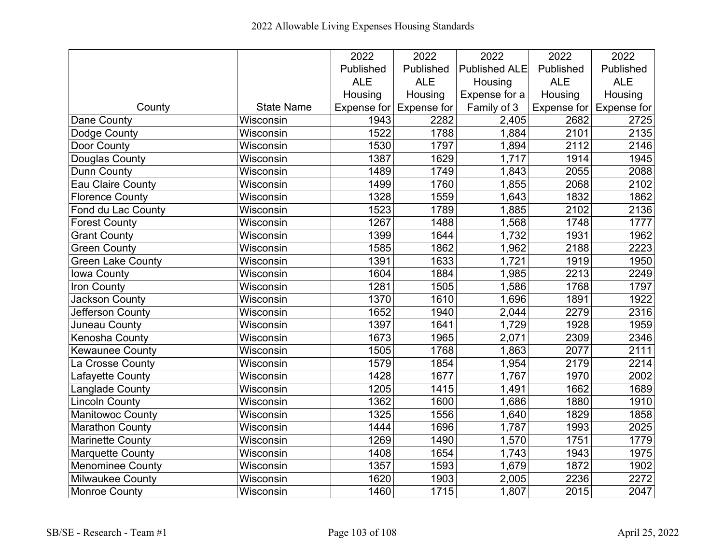|                          |                   | 2022       | 2022                               | 2022                 | 2022        | 2022        |
|--------------------------|-------------------|------------|------------------------------------|----------------------|-------------|-------------|
|                          |                   | Published  | Published                          | <b>Published ALE</b> | Published   | Published   |
|                          |                   | <b>ALE</b> | <b>ALE</b>                         | Housing              | <b>ALE</b>  | <b>ALE</b>  |
|                          |                   | Housing    | Housing                            | Expense for a        | Housing     | Housing     |
| County                   | <b>State Name</b> |            | Expense for $\mathsf{Expense}$ for | Family of 3          | Expense for | Expense for |
| Dane County              | Wisconsin         | 1943       | 2282                               | 2,405                | 2682        | 2725        |
| Dodge County             | Wisconsin         | 1522       | 1788                               | 1,884                | 2101        | 2135        |
| Door County              | Wisconsin         | 1530       | 1797                               | 1,894                | 2112        | 2146        |
| Douglas County           | Wisconsin         | 1387       | 1629                               | 1,717                | 1914        | 1945        |
| <b>Dunn County</b>       | Wisconsin         | 1489       | 1749                               | 1,843                | 2055        | 2088        |
| <b>Eau Claire County</b> | Wisconsin         | 1499       | 1760                               | 1,855                | 2068        | 2102        |
| <b>Florence County</b>   | Wisconsin         | 1328       | 1559                               | 1,643                | 1832        | 1862        |
| Fond du Lac County       | Wisconsin         | 1523       | 1789                               | 1,885                | 2102        | 2136        |
| <b>Forest County</b>     | Wisconsin         | 1267       | 1488                               | 1,568                | 1748        | 1777        |
| <b>Grant County</b>      | Wisconsin         | 1399       | 1644                               | 1,732                | 1931        | 1962        |
| <b>Green County</b>      | Wisconsin         | 1585       | 1862                               | 1,962                | 2188        | 2223        |
| <b>Green Lake County</b> | Wisconsin         | 1391       | 1633                               | 1,721                | 1919        | 1950        |
| Iowa County              | Wisconsin         | 1604       | 1884                               | 1,985                | 2213        | 2249        |
| Iron County              | Wisconsin         | 1281       | 1505                               | 1,586                | 1768        | 1797        |
| Jackson County           | Wisconsin         | 1370       | 1610                               | 1,696                | 1891        | 1922        |
| Jefferson County         | Wisconsin         | 1652       | 1940                               | 2,044                | 2279        | 2316        |
| Juneau County            | Wisconsin         | 1397       | 1641                               | 1,729                | 1928        | 1959        |
| Kenosha County           | Wisconsin         | 1673       | 1965                               | 2,071                | 2309        | 2346        |
| <b>Kewaunee County</b>   | Wisconsin         | 1505       | 1768                               | 1,863                | 2077        | 2111        |
| La Crosse County         | Wisconsin         | 1579       | 1854                               | 1,954                | 2179        | 2214        |
| Lafayette County         | Wisconsin         | 1428       | 1677                               | 1,767                | 1970        | 2002        |
| Langlade County          | Wisconsin         | 1205       | 1415                               | 1,491                | 1662        | 1689        |
| <b>Lincoln County</b>    | Wisconsin         | 1362       | 1600                               | 1,686                | 1880        | 1910        |
| <b>Manitowoc County</b>  | Wisconsin         | 1325       | 1556                               | 1,640                | 1829        | 1858        |
| <b>Marathon County</b>   | Wisconsin         | 1444       | 1696                               | 1,787                | 1993        | 2025        |
| <b>Marinette County</b>  | Wisconsin         | 1269       | 1490                               | 1,570                | 1751        | 1779        |
| <b>Marquette County</b>  | Wisconsin         | 1408       | 1654                               | 1,743                | 1943        | 1975        |
| Menominee County         | Wisconsin         | 1357       | 1593                               | 1,679                | 1872        | 1902        |
| <b>Milwaukee County</b>  | Wisconsin         | 1620       | 1903                               | 2,005                | 2236        | 2272        |
| <b>Monroe County</b>     | Wisconsin         | 1460       | 1715                               | 1,807                | 2015        | 2047        |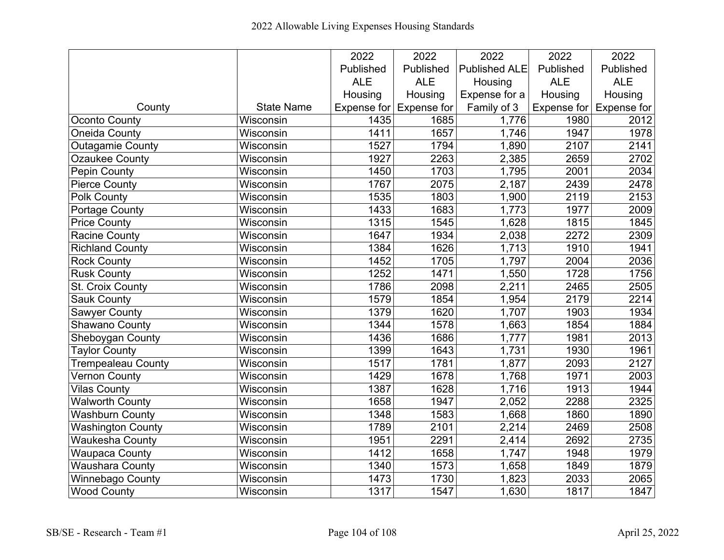|                           |                   | 2022        | 2022               | 2022                 | 2022        | 2022               |
|---------------------------|-------------------|-------------|--------------------|----------------------|-------------|--------------------|
|                           |                   | Published   | Published          | <b>Published ALE</b> | Published   | Published          |
|                           |                   | <b>ALE</b>  | <b>ALE</b>         | Housing              | <b>ALE</b>  | <b>ALE</b>         |
|                           |                   | Housing     | Housing            | Expense for a        | Housing     | Housing            |
| County                    | <b>State Name</b> | Expense for | <b>Expense for</b> | Family of 3          | Expense for | <b>Expense for</b> |
| <b>Oconto County</b>      | Wisconsin         | 1435        | 1685               | 1,776                | 1980        | 2012               |
| <b>Oneida County</b>      | Wisconsin         | 1411        | 1657               | 1,746                | 1947        | 1978               |
| Outagamie County          | Wisconsin         | 1527        | 1794               | 1,890                | 2107        | 2141               |
| Ozaukee County            | Wisconsin         | 1927        | 2263               | 2,385                | 2659        | 2702               |
| Pepin County              | Wisconsin         | 1450        | 1703               | 1,795                | 2001        | 2034               |
| <b>Pierce County</b>      | Wisconsin         | 1767        | 2075               | 2,187                | 2439        | 2478               |
| Polk County               | Wisconsin         | 1535        | 1803               | 1,900                | 2119        | 2153               |
| <b>Portage County</b>     | Wisconsin         | 1433        | 1683               | 1,773                | 1977        | 2009               |
| <b>Price County</b>       | Wisconsin         | 1315        | 1545               | 1,628                | 1815        | 1845               |
| <b>Racine County</b>      | Wisconsin         | 1647        | 1934               | 2,038                | 2272        | 2309               |
| <b>Richland County</b>    | Wisconsin         | 1384        | 1626               | 1,713                | 1910        | 1941               |
| <b>Rock County</b>        | Wisconsin         | 1452        | 1705               | 1,797                | 2004        | 2036               |
| <b>Rusk County</b>        | Wisconsin         | 1252        | 1471               | 1,550                | 1728        | 1756               |
| St. Croix County          | Wisconsin         | 1786        | 2098               | 2,211                | 2465        | 2505               |
| <b>Sauk County</b>        | Wisconsin         | 1579        | 1854               | 1,954                | 2179        | 2214               |
| <b>Sawyer County</b>      | Wisconsin         | 1379        | 1620               | 1,707                | 1903        | 1934               |
| Shawano County            | Wisconsin         | 1344        | 1578               | 1,663                | 1854        | 1884               |
| Sheboygan County          | Wisconsin         | 1436        | 1686               | 1,777                | 1981        | 2013               |
| <b>Taylor County</b>      | Wisconsin         | 1399        | 1643               | 1,731                | 1930        | 1961               |
| <b>Trempealeau County</b> | Wisconsin         | 1517        | 1781               | 1,877                | 2093        | 2127               |
| <b>Vernon County</b>      | Wisconsin         | 1429        | 1678               | 1,768                | 1971        | 2003               |
| <b>Vilas County</b>       | Wisconsin         | 1387        | 1628               | 1,716                | 1913        | 1944               |
| <b>Walworth County</b>    | Wisconsin         | 1658        | 1947               | 2,052                | 2288        | 2325               |
| <b>Washburn County</b>    | Wisconsin         | 1348        | 1583               | 1,668                | 1860        | 1890               |
| <b>Washington County</b>  | Wisconsin         | 1789        | 2101               | 2,214                | 2469        | 2508               |
| <b>Waukesha County</b>    | Wisconsin         | 1951        | 2291               | 2,414                | 2692        | 2735               |
| <b>Waupaca County</b>     | Wisconsin         | 1412        | 1658               | 1,747                | 1948        | 1979               |
| Waushara County           | Wisconsin         | 1340        | 1573               | 1,658                | 1849        | 1879               |
| Winnebago County          | Wisconsin         | 1473        | 1730               | 1,823                | 2033        | 2065               |
| <b>Wood County</b>        | Wisconsin         | 1317        | 1547               | 1,630                | 1817        | 1847               |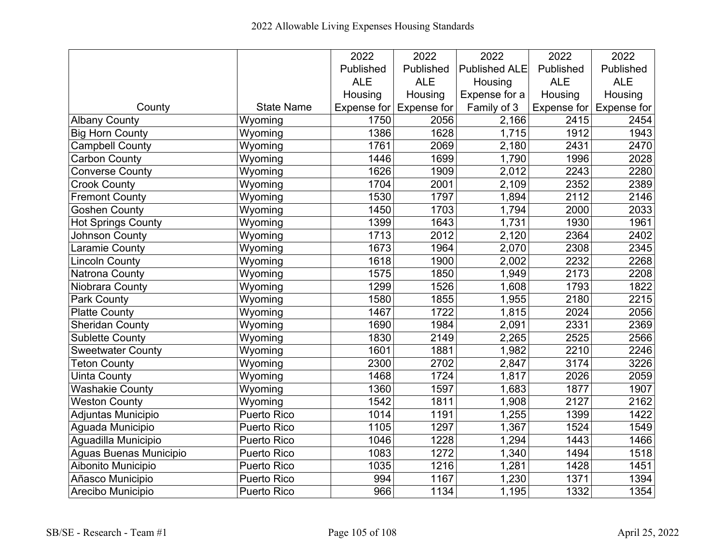|                           |                    | 2022        | 2022               | 2022                 | 2022       | 2022                            |
|---------------------------|--------------------|-------------|--------------------|----------------------|------------|---------------------------------|
|                           |                    | Published   | Published          | <b>Published ALE</b> | Published  | Published                       |
|                           |                    | <b>ALE</b>  | <b>ALE</b>         | Housing              | <b>ALE</b> | <b>ALE</b>                      |
|                           |                    | Housing     | Housing            | Expense for a        | Housing    | Housing                         |
| County                    | <b>State Name</b>  | Expense for | <b>Expense for</b> | Family of 3          |            | Expense for $\vert$ Expense for |
| <b>Albany County</b>      | Wyoming            | 1750        | 2056               | 2,166                | 2415       | 2454                            |
| <b>Big Horn County</b>    | Wyoming            | 1386        | 1628               | 1,715                | 1912       | 1943                            |
| <b>Campbell County</b>    | Wyoming            | 1761        | 2069               | 2,180                | 2431       | 2470                            |
| Carbon County             | Wyoming            | 1446        | 1699               | 1,790                | 1996       | 2028                            |
| <b>Converse County</b>    | Wyoming            | 1626        | 1909               | 2,012                | 2243       | 2280                            |
| <b>Crook County</b>       | Wyoming            | 1704        | 2001               | 2,109                | 2352       | 2389                            |
| <b>Fremont County</b>     | Wyoming            | 1530        | 1797               | 1,894                | 2112       | 2146                            |
| <b>Goshen County</b>      | Wyoming            | 1450        | 1703               | 1,794                | 2000       | 2033                            |
| <b>Hot Springs County</b> | Wyoming            | 1399        | 1643               | 1,731                | 1930       | 1961                            |
| Johnson County            | Wyoming            | 1713        | 2012               | 2,120                | 2364       | 2402                            |
| Laramie County            | Wyoming            | 1673        | 1964               | 2,070                | 2308       | 2345                            |
| <b>Lincoln County</b>     | Wyoming            | 1618        | 1900               | 2,002                | 2232       | 2268                            |
| Natrona County            | Wyoming            | 1575        | 1850               | 1,949                | 2173       | 2208                            |
| Niobrara County           | Wyoming            | 1299        | 1526               | 1,608                | 1793       | 1822                            |
| <b>Park County</b>        | Wyoming            | 1580        | 1855               | 1,955                | 2180       | 2215                            |
| <b>Platte County</b>      | Wyoming            | 1467        | 1722               | 1,815                | 2024       | 2056                            |
| <b>Sheridan County</b>    | Wyoming            | 1690        | 1984               | 2,091                | 2331       | 2369                            |
| <b>Sublette County</b>    | Wyoming            | 1830        | 2149               | 2,265                | 2525       | 2566                            |
| <b>Sweetwater County</b>  | Wyoming            | 1601        | 1881               | 1,982                | 2210       | 2246                            |
| <b>Teton County</b>       | Wyoming            | 2300        | 2702               | 2,847                | 3174       | 3226                            |
| <b>Uinta County</b>       | Wyoming            | 1468        | 1724               | 1,817                | 2026       | 2059                            |
| <b>Washakie County</b>    | Wyoming            | 1360        | 1597               | 1,683                | 1877       | 1907                            |
| <b>Weston County</b>      | Wyoming            | 1542        | 1811               | 1,908                | 2127       | 2162                            |
| Adjuntas Municipio        | <b>Puerto Rico</b> | 1014        | 1191               | 1,255                | 1399       | 1422                            |
| Aguada Municipio          | Puerto Rico        | 1105        | 1297               | 1,367                | 1524       | 1549                            |
| Aguadilla Municipio       | Puerto Rico        | 1046        | 1228               | 1,294                | 1443       | 1466                            |
| Aguas Buenas Municipio    | Puerto Rico        | 1083        | 1272               | 1,340                | 1494       | 1518                            |
| Aibonito Municipio        | Puerto Rico        | 1035        | 1216               | 1,281                | 1428       | 1451                            |
| Añasco Municipio          | Puerto Rico        | 994         | 1167               | 1,230                | 1371       | 1394                            |
| Arecibo Municipio         | <b>Puerto Rico</b> | 966         | 1134               | 1,195                | 1332       | 1354                            |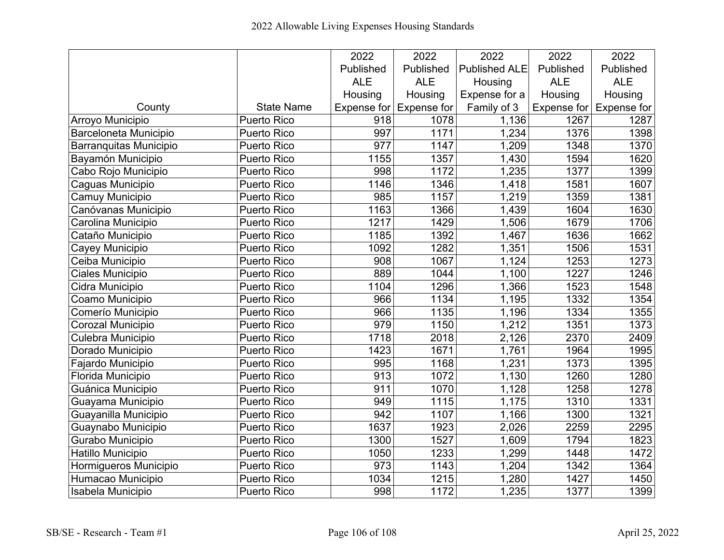|                         |                    | 2022             | 2022               | 2022                 | 2022       | 2022                            |
|-------------------------|--------------------|------------------|--------------------|----------------------|------------|---------------------------------|
|                         |                    | Published        | Published          | <b>Published ALE</b> | Published  | Published                       |
|                         |                    | <b>ALE</b>       | <b>ALE</b>         | Housing              | <b>ALE</b> | <b>ALE</b>                      |
|                         |                    | Housing          | Housing            | Expense for a        | Housing    | Housing                         |
| County                  | <b>State Name</b>  | Expense for      | <b>Expense for</b> | Family of 3          |            | Expense for $\vert$ Expense for |
| <b>Arroyo Municipio</b> | <b>Puerto Rico</b> | $\overline{918}$ | 1078               | 1,136                | 1267       | 1287                            |
| Barceloneta Municipio   | <b>Puerto Rico</b> | 997              | 1171               | 1,234                | 1376       | 1398                            |
| Barranquitas Municipio  | Puerto Rico        | 977              | 1147               | 1,209                | 1348       | 1370                            |
| Bayamón Municipio       | <b>Puerto Rico</b> | 1155             | 1357               | 1,430                | 1594       | 1620                            |
| Cabo Rojo Municipio     | <b>Puerto Rico</b> | 998              | 1172               | 1,235                | 1377       | 1399                            |
| Caguas Municipio        | <b>Puerto Rico</b> | 1146             | 1346               | 1,418                | 1581       | 1607                            |
| Camuy Municipio         | <b>Puerto Rico</b> | 985              | 1157               | 1,219                | 1359       | 1381                            |
| Canóvanas Municipio     | <b>Puerto Rico</b> | 1163             | 1366               | 1,439                | 1604       | 1630                            |
| Carolina Municipio      | <b>Puerto Rico</b> | 1217             | 1429               | 1,506                | 1679       | 1706                            |
| Cataño Municipio        | <b>Puerto Rico</b> | 1185             | 1392               | 1,467                | 1636       | 1662                            |
| Cayey Municipio         | Puerto Rico        | 1092             | 1282               | 1,351                | 1506       | 1531                            |
| Ceiba Municipio         | Puerto Rico        | 908              | 1067               | 1,124                | 1253       | 1273                            |
| Ciales Municipio        | <b>Puerto Rico</b> | 889              | 1044               | 1,100                | 1227       | 1246                            |
| Cidra Municipio         | Puerto Rico        | 1104             | 1296               | 1,366                | 1523       | 1548                            |
| Coamo Municipio         | <b>Puerto Rico</b> | 966              | 1134               | 1,195                | 1332       | 1354                            |
| Comerío Municipio       | Puerto Rico        | 966              | 1135               | 1,196                | 1334       | 1355                            |
| Corozal Municipio       | Puerto Rico        | 979              | 1150               | 1,212                | 1351       | 1373                            |
| Culebra Municipio       | Puerto Rico        | 1718             | 2018               | 2,126                | 2370       | 2409                            |
| Dorado Municipio        | <b>Puerto Rico</b> | 1423             | 1671               | 1,761                | 1964       | 1995                            |
| Fajardo Municipio       | <b>Puerto Rico</b> | 995              | 1168               | 1,231                | 1373       | 1395                            |
| Florida Municipio       | Puerto Rico        | 913              | 1072               | 1,130                | 1260       | 1280                            |
| Guánica Municipio       | Puerto Rico        | 911              | 1070               | 1,128                | 1258       | 1278                            |
| Guayama Municipio       | Puerto Rico        | 949              | 1115               | 1,175                | 1310       | 1331                            |
| Guayanilla Municipio    | <b>Puerto Rico</b> | 942              | 1107               | 1,166                | 1300       | 1321                            |
| Guaynabo Municipio      | <b>Puerto Rico</b> | 1637             | 1923               | 2,026                | 2259       | 2295                            |
| Gurabo Municipio        | Puerto Rico        | 1300             | 1527               | 1,609                | 1794       | 1823                            |
| Hatillo Municipio       | Puerto Rico        | 1050             | 1233               | 1,299                | 1448       | 1472                            |
| Hormigueros Municipio   | Puerto Rico        | 973              | 1143               | 1,204                | 1342       | 1364                            |
| Humacao Municipio       | Puerto Rico        | 1034             | 1215               | 1,280                | 1427       | 1450                            |
| Isabela Municipio       | <b>Puerto Rico</b> | 998              | 1172               | 1,235                | 1377       | 1399                            |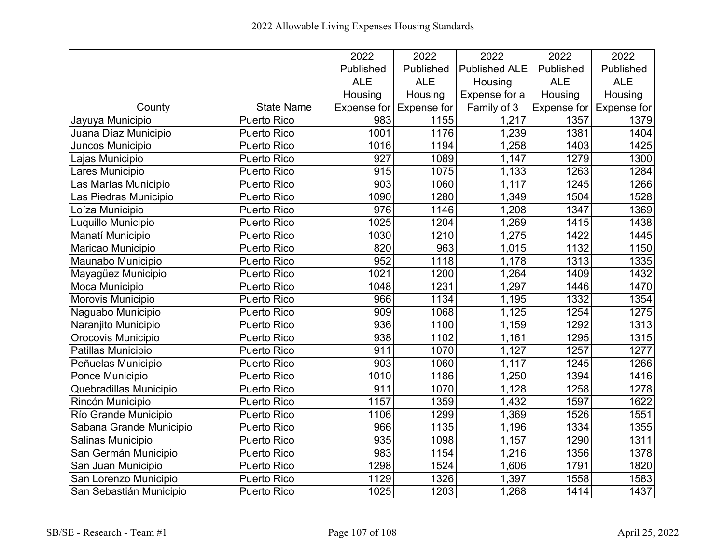|                         |                    | 2022             | 2022               | 2022                 | 2022       | 2022                            |
|-------------------------|--------------------|------------------|--------------------|----------------------|------------|---------------------------------|
|                         |                    | Published        | Published          | <b>Published ALE</b> | Published  | Published                       |
|                         |                    | <b>ALE</b>       | <b>ALE</b>         | Housing              | <b>ALE</b> | <b>ALE</b>                      |
|                         |                    | Housing          | Housing            | Expense for a        | Housing    | Housing                         |
| County                  | <b>State Name</b>  | Expense for      | <b>Expense for</b> | Family of 3          |            | Expense for $\vert$ Expense for |
| Jayuya Municipio        | <b>Puerto Rico</b> | 983              | 1155               | 1,217                | 1357       | 1379                            |
| Juana Díaz Municipio    | Puerto Rico        | 1001             | 1176               | 1,239                | 1381       | 1404                            |
| Juncos Municipio        | Puerto Rico        | 1016             | 1194               | 1,258                | 1403       | 1425                            |
| Lajas Municipio         | <b>Puerto Rico</b> | 927              | 1089               | 1,147                | 1279       | 1300                            |
| Lares Municipio         | Puerto Rico        | 915              | 1075               | 1,133                | 1263       | 1284                            |
| Las Marías Municipio    | Puerto Rico        | 903              | 1060               | 1,117                | 1245       | 1266                            |
| Las Piedras Municipio   | Puerto Rico        | 1090             | 1280               | 1,349                | 1504       | 1528                            |
| Loíza Municipio         | Puerto Rico        | 976              | 1146               | 1,208                | 1347       | 1369                            |
| Luquillo Municipio      | <b>Puerto Rico</b> | 1025             | 1204               | 1,269                | 1415       | 1438                            |
| Manatí Municipio        | <b>Puerto Rico</b> | 1030             | 1210               | 1,275                | 1422       | 1445                            |
| Maricao Municipio       | <b>Puerto Rico</b> | 820              | 963                | 1,015                | 1132       | 1150                            |
| Maunabo Municipio       | Puerto Rico        | 952              | 1118               | 1,178                | 1313       | 1335                            |
| Mayagüez Municipio      | Puerto Rico        | 1021             | 1200               | 1,264                | 1409       | 1432                            |
| Moca Municipio          | <b>Puerto Rico</b> | 1048             | 1231               | 1,297                | 1446       | 1470                            |
| Morovis Municipio       | Puerto Rico        | 966              | 1134               | 1,195                | 1332       | 1354                            |
| Naguabo Municipio       | Puerto Rico        | $\overline{909}$ | 1068               | 1,125                | 1254       | 1275                            |
| Naranjito Municipio     | Puerto Rico        | 936              | 1100               | 1,159                | 1292       | 1313                            |
| Orocovis Municipio      | Puerto Rico        | 938              | 1102               | 1,161                | 1295       | 1315                            |
| Patillas Municipio      | Puerto Rico        | 911              | 1070               | 1,127                | 1257       | 1277                            |
| Peñuelas Municipio      | <b>Puerto Rico</b> | 903              | 1060               | 1,117                | 1245       | 1266                            |
| Ponce Municipio         | <b>Puerto Rico</b> | 1010             | 1186               | 1,250                | 1394       | 1416                            |
| Quebradillas Municipio  | <b>Puerto Rico</b> | 911              | 1070               | 1,128                | 1258       | 1278                            |
| Rincón Municipio        | Puerto Rico        | 1157             | 1359               | 1,432                | 1597       | 1622                            |
| Río Grande Municipio    | Puerto Rico        | 1106             | 1299               | 1,369                | 1526       | 1551                            |
| Sabana Grande Municipio | <b>Puerto Rico</b> | 966              | 1135               | 1,196                | 1334       | 1355                            |
| Salinas Municipio       | Puerto Rico        | 935              | 1098               | 1,157                | 1290       | 1311                            |
| San Germán Municipio    | Puerto Rico        | 983              | 1154               | 1,216                | 1356       | 1378                            |
| San Juan Municipio      | Puerto Rico        | 1298             | 1524               | 1,606                | 1791       | 1820                            |
| San Lorenzo Municipio   | <b>Puerto Rico</b> | 1129             | 1326               | 1,397                | 1558       | 1583                            |
| San Sebastián Municipio | Puerto Rico        | 1025             | 1203               | 1,268                | 1414       | 1437                            |